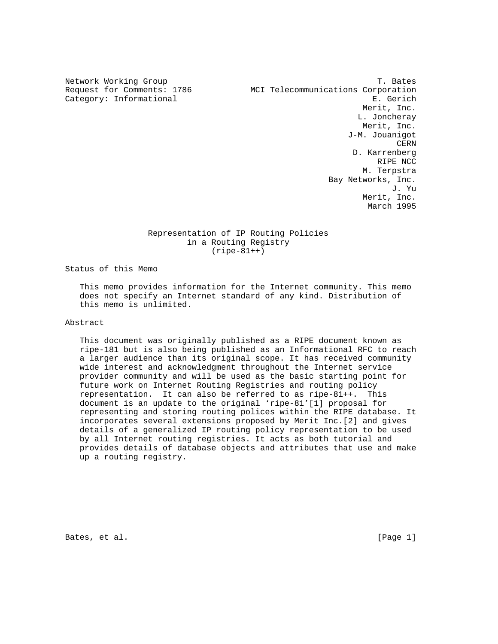Network Working Group T. Bates Request for Comments: 1786 MCI Telecommunications Corporation Category: Informational extension of the second series of the series of the series of the series of the series Merit, Inc. L. Joncheray Merit, Inc. J-M. Jouanigot **CERN CERN**  D. Karrenberg RIPE NCC M. Terpstra Bay Networks, Inc. J. Yu Merit, Inc. March 1995

## Representation of IP Routing Policies in a Routing Registry (ripe-81++)

Status of this Memo

 This memo provides information for the Internet community. This memo does not specify an Internet standard of any kind. Distribution of this memo is unlimited.

Abstract

 This document was originally published as a RIPE document known as ripe-181 but is also being published as an Informational RFC to reach a larger audience than its original scope. It has received community wide interest and acknowledgment throughout the Internet service provider community and will be used as the basic starting point for future work on Internet Routing Registries and routing policy representation. It can also be referred to as ripe-81++. This document is an update to the original 'ripe-81'[1] proposal for representing and storing routing polices within the RIPE database. It incorporates several extensions proposed by Merit Inc.[2] and gives details of a generalized IP routing policy representation to be used by all Internet routing registries. It acts as both tutorial and provides details of database objects and attributes that use and make up a routing registry.

Bates, et al. [Page 1]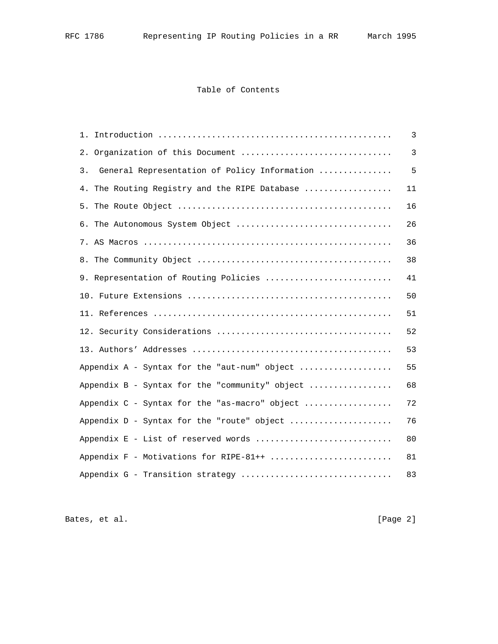## Table of Contents

|                                                    | 3  |
|----------------------------------------------------|----|
| 2. Organization of this Document                   | 3  |
| General Representation of Policy Information<br>3. | 5  |
| 4. The Routing Registry and the RIPE Database      | 11 |
|                                                    | 16 |
| 6. The Autonomous System Object                    | 26 |
|                                                    | 36 |
|                                                    | 38 |
| 9. Representation of Routing Policies              | 41 |
|                                                    | 50 |
|                                                    | 51 |
|                                                    | 52 |
|                                                    | 53 |
| Appendix A - Syntax for the "aut-num" object       | 55 |
| Appendix B - Syntax for the "community" object     | 68 |
| Appendix C - Syntax for the "as-macro" object      | 72 |
| Appendix D - Syntax for the "route" object         | 76 |
| Appendix E - List of reserved words                | 80 |
| Appendix F - Motivations for RIPE-81++             | 81 |
| Appendix G - Transition strategy                   | 83 |

Bates, et al. [Page 2]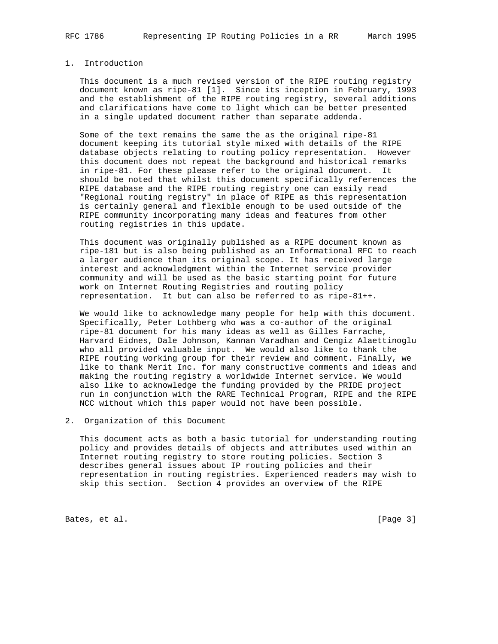# 1. Introduction

 This document is a much revised version of the RIPE routing registry document known as ripe-81 [1]. Since its inception in February, 1993 and the establishment of the RIPE routing registry, several additions and clarifications have come to light which can be better presented in a single updated document rather than separate addenda.

 Some of the text remains the same the as the original ripe-81 document keeping its tutorial style mixed with details of the RIPE database objects relating to routing policy representation. However this document does not repeat the background and historical remarks in ripe-81. For these please refer to the original document. It should be noted that whilst this document specifically references the RIPE database and the RIPE routing registry one can easily read "Regional routing registry" in place of RIPE as this representation is certainly general and flexible enough to be used outside of the RIPE community incorporating many ideas and features from other routing registries in this update.

 This document was originally published as a RIPE document known as ripe-181 but is also being published as an Informational RFC to reach a larger audience than its original scope. It has received large interest and acknowledgment within the Internet service provider community and will be used as the basic starting point for future work on Internet Routing Registries and routing policy representation. It but can also be referred to as ripe-81++.

 We would like to acknowledge many people for help with this document. Specifically, Peter Lothberg who was a co-author of the original ripe-81 document for his many ideas as well as Gilles Farrache, Harvard Eidnes, Dale Johnson, Kannan Varadhan and Cengiz Alaettinoglu who all provided valuable input. We would also like to thank the RIPE routing working group for their review and comment. Finally, we like to thank Merit Inc. for many constructive comments and ideas and making the routing registry a worldwide Internet service. We would also like to acknowledge the funding provided by the PRIDE project run in conjunction with the RARE Technical Program, RIPE and the RIPE NCC without which this paper would not have been possible.

2. Organization of this Document

 This document acts as both a basic tutorial for understanding routing policy and provides details of objects and attributes used within an Internet routing registry to store routing policies. Section 3 describes general issues about IP routing policies and their representation in routing registries. Experienced readers may wish to skip this section. Section 4 provides an overview of the RIPE

Bates, et al. [Page 3]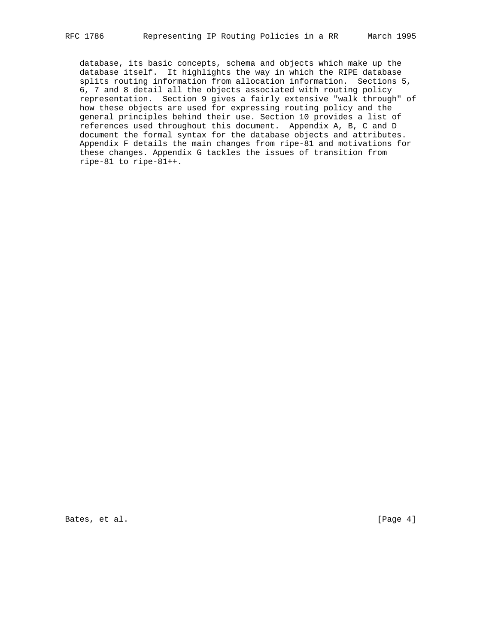database, its basic concepts, schema and objects which make up the database itself. It highlights the way in which the RIPE database splits routing information from allocation information. Sections 5, 6, 7 and 8 detail all the objects associated with routing policy representation. Section 9 gives a fairly extensive "walk through" of how these objects are used for expressing routing policy and the general principles behind their use. Section 10 provides a list of references used throughout this document. Appendix A, B, C and D document the formal syntax for the database objects and attributes. Appendix F details the main changes from ripe-81 and motivations for these changes. Appendix G tackles the issues of transition from ripe-81 to ripe-81++.

Bates, et al. [Page 4]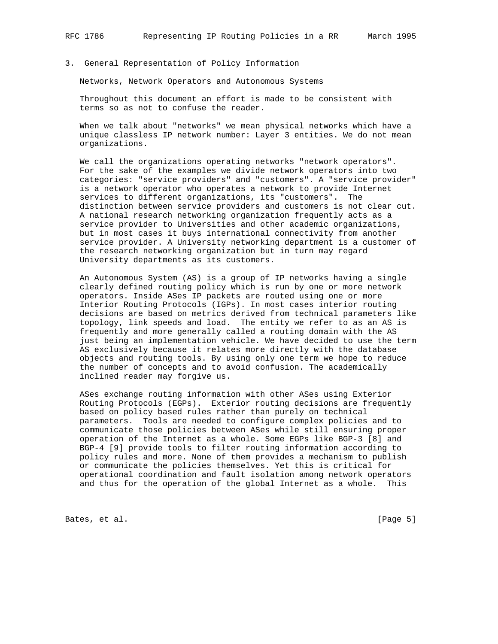## 3. General Representation of Policy Information

Networks, Network Operators and Autonomous Systems

 Throughout this document an effort is made to be consistent with terms so as not to confuse the reader.

 When we talk about "networks" we mean physical networks which have a unique classless IP network number: Layer 3 entities. We do not mean organizations.

 We call the organizations operating networks "network operators". For the sake of the examples we divide network operators into two categories: "service providers" and "customers". A "service provider" is a network operator who operates a network to provide Internet services to different organizations, its "customers". The distinction between service providers and customers is not clear cut. A national research networking organization frequently acts as a service provider to Universities and other academic organizations, but in most cases it buys international connectivity from another service provider. A University networking department is a customer of the research networking organization but in turn may regard University departments as its customers.

 An Autonomous System (AS) is a group of IP networks having a single clearly defined routing policy which is run by one or more network operators. Inside ASes IP packets are routed using one or more Interior Routing Protocols (IGPs). In most cases interior routing decisions are based on metrics derived from technical parameters like topology, link speeds and load. The entity we refer to as an AS is frequently and more generally called a routing domain with the AS just being an implementation vehicle. We have decided to use the term AS exclusively because it relates more directly with the database objects and routing tools. By using only one term we hope to reduce the number of concepts and to avoid confusion. The academically inclined reader may forgive us.

 ASes exchange routing information with other ASes using Exterior Routing Protocols (EGPs). Exterior routing decisions are frequently based on policy based rules rather than purely on technical parameters. Tools are needed to configure complex policies and to communicate those policies between ASes while still ensuring proper operation of the Internet as a whole. Some EGPs like BGP-3 [8] and BGP-4 [9] provide tools to filter routing information according to policy rules and more. None of them provides a mechanism to publish or communicate the policies themselves. Yet this is critical for operational coordination and fault isolation among network operators and thus for the operation of the global Internet as a whole. This

Bates, et al. [Page 5]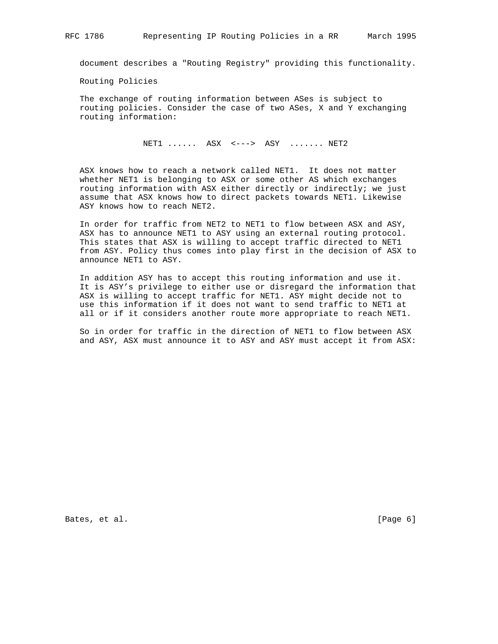document describes a "Routing Registry" providing this functionality.

Routing Policies

 The exchange of routing information between ASes is subject to routing policies. Consider the case of two ASes, X and Y exchanging routing information:

NET1 ...... ASX <---> ASY ....... NET2

 ASX knows how to reach a network called NET1. It does not matter whether NET1 is belonging to ASX or some other AS which exchanges routing information with ASX either directly or indirectly; we just assume that ASX knows how to direct packets towards NET1. Likewise ASY knows how to reach NET2.

 In order for traffic from NET2 to NET1 to flow between ASX and ASY, ASX has to announce NET1 to ASY using an external routing protocol. This states that ASX is willing to accept traffic directed to NET1 from ASY. Policy thus comes into play first in the decision of ASX to announce NET1 to ASY.

 In addition ASY has to accept this routing information and use it. It is ASY's privilege to either use or disregard the information that ASX is willing to accept traffic for NET1. ASY might decide not to use this information if it does not want to send traffic to NET1 at all or if it considers another route more appropriate to reach NET1.

 So in order for traffic in the direction of NET1 to flow between ASX and ASY, ASX must announce it to ASY and ASY must accept it from ASX:

Bates, et al. [Page 6]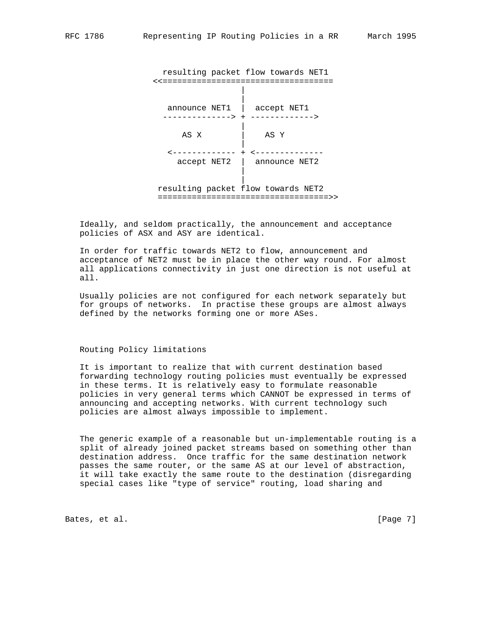resulting packet flow towards NET1 <<=================================== | | announce NET1 | accept NET1 --------------> + -------------> | AS X | AS Y | <------------- + <------------- accept NET2 | announce NET2 | | resulting packet flow towards NET2 ===================================>>

 Ideally, and seldom practically, the announcement and acceptance policies of ASX and ASY are identical.

 In order for traffic towards NET2 to flow, announcement and acceptance of NET2 must be in place the other way round. For almost all applications connectivity in just one direction is not useful at all.

 Usually policies are not configured for each network separately but for groups of networks. In practise these groups are almost always defined by the networks forming one or more ASes.

## Routing Policy limitations

 It is important to realize that with current destination based forwarding technology routing policies must eventually be expressed in these terms. It is relatively easy to formulate reasonable policies in very general terms which CANNOT be expressed in terms of announcing and accepting networks. With current technology such policies are almost always impossible to implement.

 The generic example of a reasonable but un-implementable routing is a split of already joined packet streams based on something other than destination address. Once traffic for the same destination network passes the same router, or the same AS at our level of abstraction, it will take exactly the same route to the destination (disregarding special cases like "type of service" routing, load sharing and

Bates, et al. [Page 7]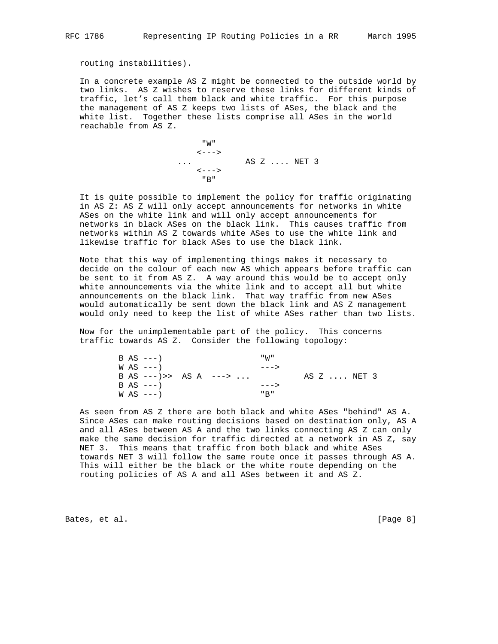routing instabilities).

 In a concrete example AS Z might be connected to the outside world by two links. AS Z wishes to reserve these links for different kinds of traffic, let's call them black and white traffic. For this purpose the management of AS Z keeps two lists of ASes, the black and the white list. Together these lists comprise all ASes in the world reachable from AS Z.

 "W"  $\left\langle \,--\,\right\rangle$  ... AS Z .... NET 3  $\leftarrow - - >$ <br>"B" "B"

 It is quite possible to implement the policy for traffic originating in AS Z: AS Z will only accept announcements for networks in white ASes on the white link and will only accept announcements for networks in black ASes on the black link. This causes traffic from networks within AS Z towards white ASes to use the white link and likewise traffic for black ASes to use the black link.

 Note that this way of implementing things makes it necessary to decide on the colour of each new AS which appears before traffic can be sent to it from AS Z. A way around this would be to accept only white announcements via the white link and to accept all but white announcements on the black link. That way traffic from new ASes would automatically be sent down the black link and AS Z management would only need to keep the list of white ASes rather than two lists.

 Now for the unimplementable part of the policy. This concerns traffic towards AS Z. Consider the following topology:

| $B AS ---$    |  |                          | "W"   |             |  |
|---------------|--|--------------------------|-------|-------------|--|
| $WAS$ $---$   |  |                          | $- >$ |             |  |
|               |  | B AS $---$ >> AS A $---$ |       | AS Z  NET 3 |  |
| $B AS ---$    |  |                          | $- >$ |             |  |
| $W$ AS $---)$ |  |                          | " א   |             |  |

 As seen from AS Z there are both black and white ASes "behind" AS A. Since ASes can make routing decisions based on destination only, AS A and all ASes between AS A and the two links connecting AS Z can only make the same decision for traffic directed at a network in AS Z, say NET 3. This means that traffic from both black and white ASes towards NET 3 will follow the same route once it passes through AS A. This will either be the black or the white route depending on the routing policies of AS A and all ASes between it and AS Z.

Bates, et al. [Page 8]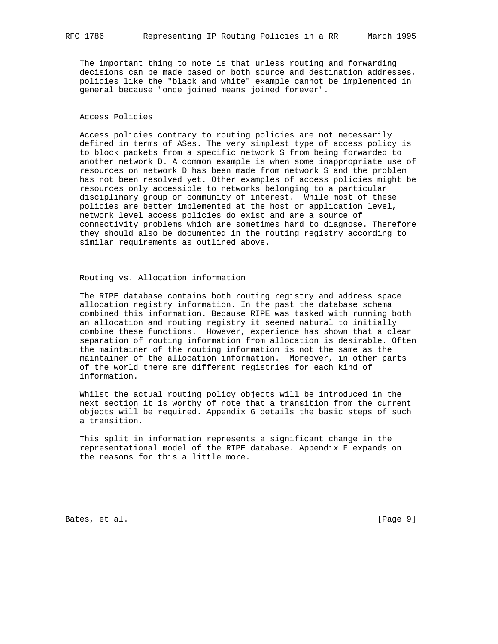The important thing to note is that unless routing and forwarding decisions can be made based on both source and destination addresses, policies like the "black and white" example cannot be implemented in general because "once joined means joined forever".

## Access Policies

 Access policies contrary to routing policies are not necessarily defined in terms of ASes. The very simplest type of access policy is to block packets from a specific network S from being forwarded to another network D. A common example is when some inappropriate use of resources on network D has been made from network S and the problem has not been resolved yet. Other examples of access policies might be resources only accessible to networks belonging to a particular disciplinary group or community of interest. While most of these policies are better implemented at the host or application level, network level access policies do exist and are a source of connectivity problems which are sometimes hard to diagnose. Therefore they should also be documented in the routing registry according to similar requirements as outlined above.

## Routing vs. Allocation information

 The RIPE database contains both routing registry and address space allocation registry information. In the past the database schema combined this information. Because RIPE was tasked with running both an allocation and routing registry it seemed natural to initially combine these functions. However, experience has shown that a clear separation of routing information from allocation is desirable. Often the maintainer of the routing information is not the same as the maintainer of the allocation information. Moreover, in other parts of the world there are different registries for each kind of information.

 Whilst the actual routing policy objects will be introduced in the next section it is worthy of note that a transition from the current objects will be required. Appendix G details the basic steps of such a transition.

 This split in information represents a significant change in the representational model of the RIPE database. Appendix F expands on the reasons for this a little more.

Bates, et al. [Page 9]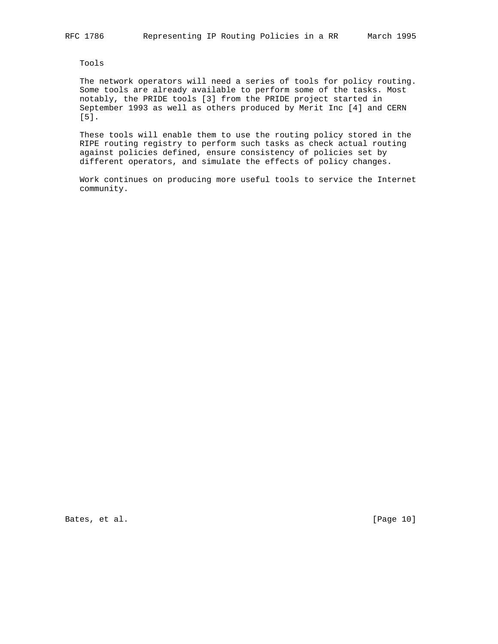Tools

 The network operators will need a series of tools for policy routing. Some tools are already available to perform some of the tasks. Most notably, the PRIDE tools [3] from the PRIDE project started in September 1993 as well as others produced by Merit Inc [4] and CERN [5].

 These tools will enable them to use the routing policy stored in the RIPE routing registry to perform such tasks as check actual routing against policies defined, ensure consistency of policies set by different operators, and simulate the effects of policy changes.

 Work continues on producing more useful tools to service the Internet community.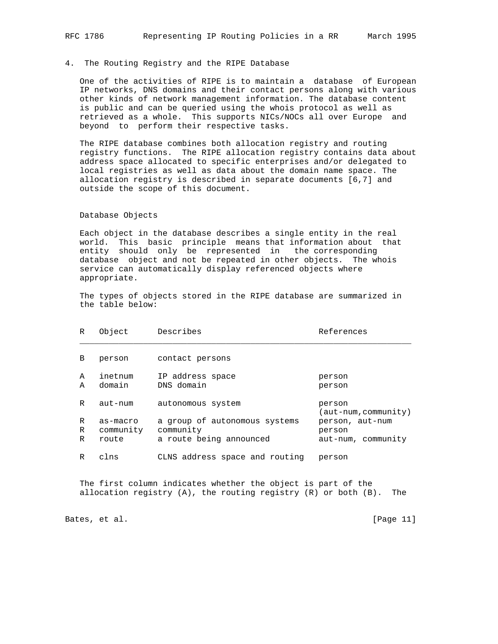## 4. The Routing Registry and the RIPE Database

 One of the activities of RIPE is to maintain a database of European IP networks, DNS domains and their contact persons along with various other kinds of network management information. The database content is public and can be queried using the whois protocol as well as retrieved as a whole. This supports NICs/NOCs all over Europe and beyond to perform their respective tasks.

 The RIPE database combines both allocation registry and routing registry functions. The RIPE allocation registry contains data about address space allocated to specific enterprises and/or delegated to local registries as well as data about the domain name space. The allocation registry is described in separate documents [6,7] and outside the scope of this document.

#### Database Objects

 Each object in the database describes a single entity in the real world. This basic principle means that information about that entity should only be represented in the corresponding database object and not be repeated in other objects. The whois service can automatically display referenced objects where appropriate.

 The types of objects stored in the RIPE database are summarized in the table below:

| R           | Object                         | Describes                                                             | References                                      |
|-------------|--------------------------------|-----------------------------------------------------------------------|-------------------------------------------------|
| В           | person                         | contact persons                                                       |                                                 |
| A<br>A      | inetnum<br>domain              | IP address space<br>DNS domain                                        | person<br>person                                |
| R           | aut-num                        | autonomous system                                                     | person<br>(aut-num,community)                   |
| R<br>R<br>R | as-macro<br>community<br>route | a group of autonomous systems<br>community<br>a route being announced | person, aut-num<br>person<br>aut-num, community |
| R           | clns                           | CLNS address space and routing                                        | person                                          |

 The first column indicates whether the object is part of the allocation registry (A), the routing registry (R) or both (B). The

Bates, et al. [Page 11]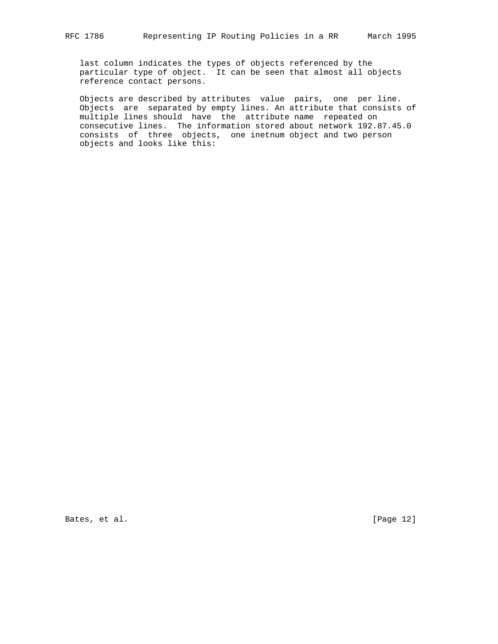last column indicates the types of objects referenced by the particular type of object. It can be seen that almost all objects reference contact persons.

 Objects are described by attributes value pairs, one per line. Objects are separated by empty lines. An attribute that consists of multiple lines should have the attribute name repeated on consecutive lines. The information stored about network 192.87.45.0 consists of three objects, one inetnum object and two person objects and looks like this:

Bates, et al. [Page 12]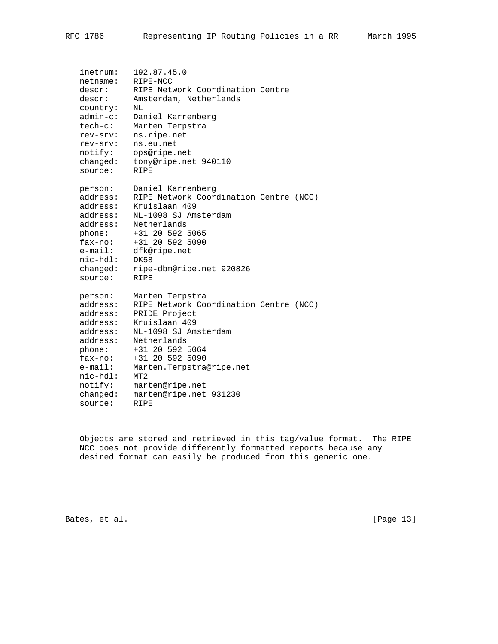inetnum: 192.87.45.0 netname: RIPE-NCC descr: RIPE Network Coordination Centre descr: Amsterdam, Netherlands country: NL admin-c: Daniel Karrenberg tech-c: Marten Terpstra rev-srv: ns.ripe.net rev-srv: ns.eu.net notify: ops@ripe.net changed: tony@ripe.net 940110 source: RIPE person: Daniel Karrenberg address: RIPE Network Coordination Centre (NCC) address: Kruislaan 409 address: NL-1098 SJ Amsterdam address: Netherlands phone: +31 20 592 5065 fax-no: +31 20 592 5090 e-mail: dfk@ripe.net nic-hdl: DK58 changed: ripe-dbm@ripe.net 920826 source: RIPE person: Marten Terpstra address: RIPE Network Coordination Centre (NCC) address: PRIDE Project address: Kruislaan 409 address: NL-1098 SJ Amsterdam address: Netherlands phone: +31 20 592 5064 fax-no: +31 20 592 5090 e-mail: Marten.Terpstra@ripe.net nic-hdl: MT2 notify: marten@ripe.net changed: marten@ripe.net 931230 source: RIPE

 Objects are stored and retrieved in this tag/value format. The RIPE NCC does not provide differently formatted reports because any desired format can easily be produced from this generic one.

Bates, et al. [Page 13]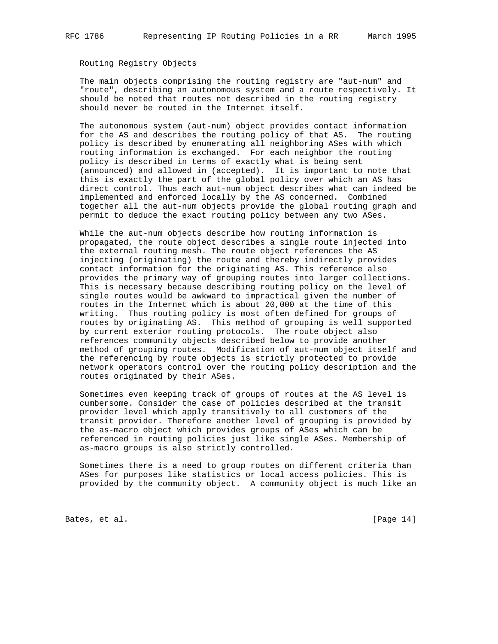## Routing Registry Objects

 The main objects comprising the routing registry are "aut-num" and "route", describing an autonomous system and a route respectively. It should be noted that routes not described in the routing registry should never be routed in the Internet itself.

 The autonomous system (aut-num) object provides contact information for the AS and describes the routing policy of that AS. The routing policy is described by enumerating all neighboring ASes with which routing information is exchanged. For each neighbor the routing policy is described in terms of exactly what is being sent (announced) and allowed in (accepted). It is important to note that this is exactly the part of the global policy over which an AS has direct control. Thus each aut-num object describes what can indeed be implemented and enforced locally by the AS concerned. Combined together all the aut-num objects provide the global routing graph and permit to deduce the exact routing policy between any two ASes.

 While the aut-num objects describe how routing information is propagated, the route object describes a single route injected into the external routing mesh. The route object references the AS injecting (originating) the route and thereby indirectly provides contact information for the originating AS. This reference also provides the primary way of grouping routes into larger collections. This is necessary because describing routing policy on the level of single routes would be awkward to impractical given the number of routes in the Internet which is about 20,000 at the time of this writing. Thus routing policy is most often defined for groups of routes by originating AS. This method of grouping is well supported by current exterior routing protocols. The route object also references community objects described below to provide another method of grouping routes. Modification of aut-num object itself and the referencing by route objects is strictly protected to provide network operators control over the routing policy description and the routes originated by their ASes.

 Sometimes even keeping track of groups of routes at the AS level is cumbersome. Consider the case of policies described at the transit provider level which apply transitively to all customers of the transit provider. Therefore another level of grouping is provided by the as-macro object which provides groups of ASes which can be referenced in routing policies just like single ASes. Membership of as-macro groups is also strictly controlled.

 Sometimes there is a need to group routes on different criteria than ASes for purposes like statistics or local access policies. This is provided by the community object. A community object is much like an

Bates, et al. [Page 14]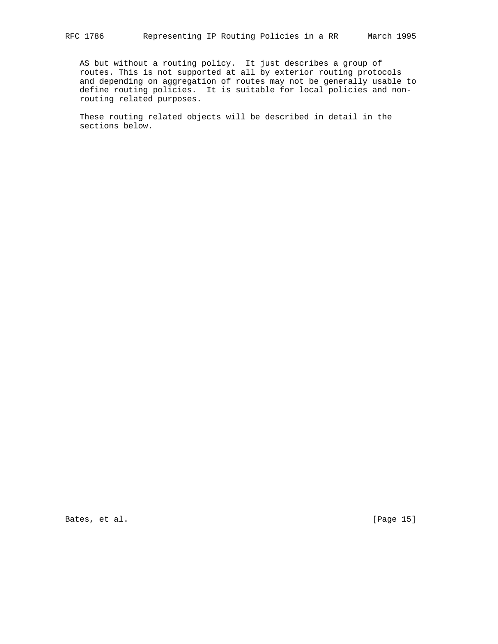AS but without a routing policy. It just describes a group of routes. This is not supported at all by exterior routing protocols and depending on aggregation of routes may not be generally usable to define routing policies. It is suitable for local policies and nonrouting related purposes.

 These routing related objects will be described in detail in the sections below.

Bates, et al. [Page 15]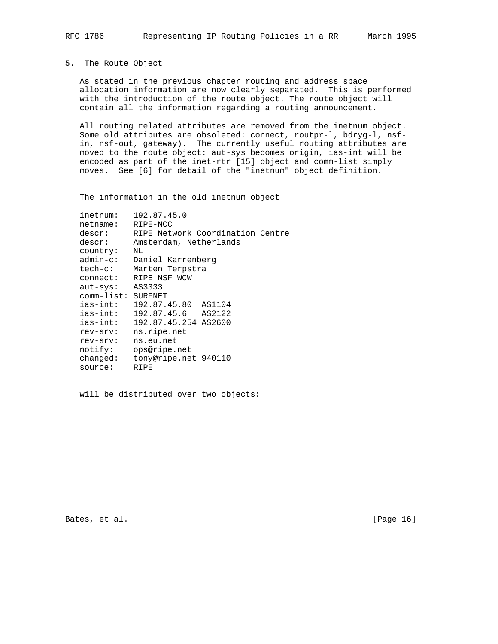## 5. The Route Object

 As stated in the previous chapter routing and address space allocation information are now clearly separated. This is performed with the introduction of the route object. The route object will contain all the information regarding a routing announcement.

 All routing related attributes are removed from the inetnum object. Some old attributes are obsoleted: connect, routpr-l, bdryg-l, nsf in, nsf-out, gateway). The currently useful routing attributes are moved to the route object: aut-sys becomes origin, ias-int will be encoded as part of the inet-rtr [15] object and comm-list simply moves. See [6] for detail of the "inetnum" object definition.

The information in the old inetnum object

| inetnum:           | 192.87.45.0                      |
|--------------------|----------------------------------|
| netname:           | RIPE-NCC                         |
| descr:             | RIPE Network Coordination Centre |
| descr:             | Amsterdam, Netherlands           |
| country:           | NL                               |
| $admin-c$ :        | Daniel Karrenberg                |
| tech-c:            | Marten Terpstra                  |
| connect:           | RIPE NSF WCW                     |
| $aut-sys:$         | AS3333                           |
| comm-list: SURFNET |                                  |
| ias-int:           | 192.87.45.80 AS1104              |
| ias-int:           | 192.87.45.6<br>AS2122            |
| ias-int:           | 192.87.45.254 AS2600             |
| rev-srv:           | ns.ripe.net                      |
| rev-srv:           | ns.eu.net                        |
| notify:            | ops@ripe.net                     |
| changed:           | tony@ripe.net 940110             |
| source:            | RIPE                             |

will be distributed over two objects:

Bates, et al. [Page 16]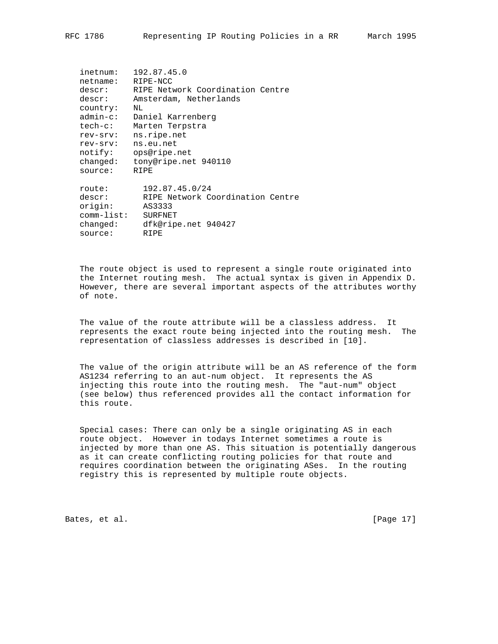| inetnum:<br>netname:<br>descr: | 192.87.45.0<br>RIPE-NCC<br>RIPE Network Coordination Centre |
|--------------------------------|-------------------------------------------------------------|
| descr:                         | Amsterdam, Netherlands                                      |
| country:<br>$admin-c$ :        | ΝL<br>Daniel Karrenberg                                     |
| $tech-c$ :                     | Marten Terpstra                                             |
|                                | ns.ripe.net                                                 |
| rev-srv:                       |                                                             |
| rev-srv:                       | ns.eu.net                                                   |
| notify:                        | ops@ripe.net                                                |
| changed:                       | tony@ripe.net 940110                                        |
| source:                        | RTPE                                                        |
| route:                         | 192.87.45.0/24                                              |
| descr:                         | RIPE Network Coordination Centre                            |
| origin:                        | AS3333                                                      |
| $comm$ -list:                  | <b>SURFNET</b>                                              |
| changed:                       | dfk@ripe.net 940427                                         |
|                                |                                                             |
| source:                        | RIPE                                                        |

 The route object is used to represent a single route originated into the Internet routing mesh. The actual syntax is given in Appendix D. However, there are several important aspects of the attributes worthy of note.

 The value of the route attribute will be a classless address. It represents the exact route being injected into the routing mesh. The representation of classless addresses is described in [10].

 The value of the origin attribute will be an AS reference of the form AS1234 referring to an aut-num object. It represents the AS injecting this route into the routing mesh. The "aut-num" object (see below) thus referenced provides all the contact information for this route.

 Special cases: There can only be a single originating AS in each route object. However in todays Internet sometimes a route is injected by more than one AS. This situation is potentially dangerous as it can create conflicting routing policies for that route and requires coordination between the originating ASes. In the routing registry this is represented by multiple route objects.

Bates, et al. [Page 17]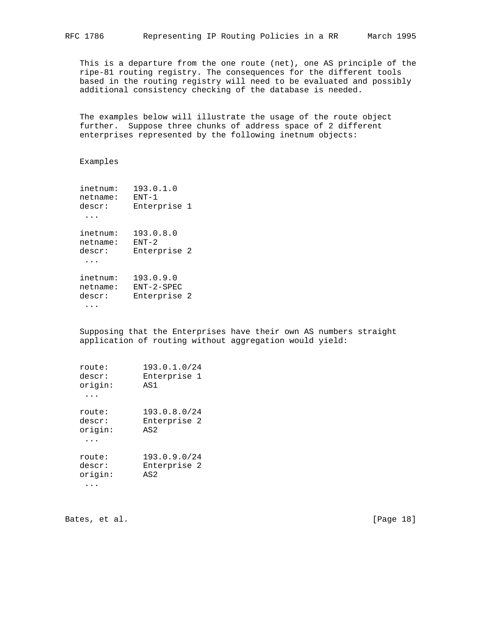This is a departure from the one route (net), one AS principle of the ripe-81 routing registry. The consequences for the different tools based in the routing registry will need to be evaluated and possibly additional consistency checking of the database is needed.

 The examples below will illustrate the usage of the route object further. Suppose three chunks of address space of 2 different enterprises represented by the following inetnum objects:

## Examples

| inetnum:<br>netname:<br>descr: | 193.0.1.0<br>$FNT-1$<br>Enterprise 1      |  |
|--------------------------------|-------------------------------------------|--|
| inetnum:<br>netname:<br>descr: | 193.0.8.0<br>$FNT - 2$<br>Enterprise 2    |  |
| inetnum:<br>netname:<br>descr: | 193.0.9.0<br>$ENT-2-SPEC$<br>Enterprise 2 |  |

...

 Supposing that the Enterprises have their own AS numbers straight application of routing without aggregation would yield:

| route:  | 193.0.1.0/24 |
|---------|--------------|
| descr:  | Enterprise 1 |
| origin: | AS1          |
| route:  | 193.0.8.0/24 |
| descr:  | Enterprise 2 |
| origin: | AS2          |
| route:  | 193.0.9.0/24 |
| descr:  | Enterprise 2 |
| origin: | AS2          |

Bates, et al. [Page 18]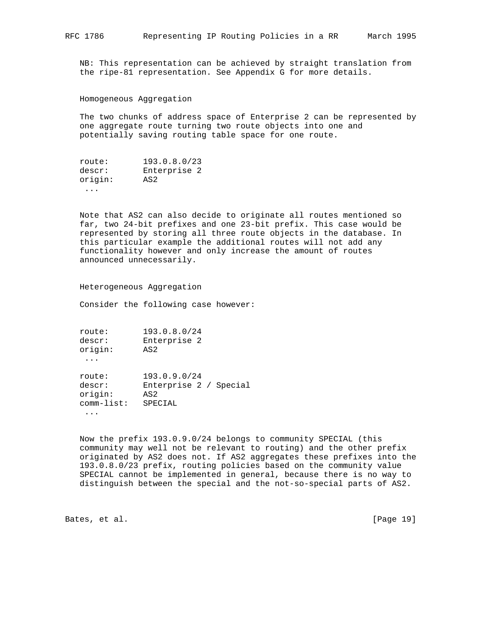NB: This representation can be achieved by straight translation from the ripe-81 representation. See Appendix G for more details.

Homogeneous Aggregation

 The two chunks of address space of Enterprise 2 can be represented by one aggregate route turning two route objects into one and potentially saving routing table space for one route.

| route:  | 193.0.8.0/23 |
|---------|--------------|
| descr:  | Enterprise 2 |
| origin: | AS2          |
|         |              |

 Note that AS2 can also decide to originate all routes mentioned so far, two 24-bit prefixes and one 23-bit prefix. This case would be represented by storing all three route objects in the database. In this particular example the additional routes will not add any functionality however and only increase the amount of routes announced unnecessarily.

Heterogeneous Aggregation

Consider the following case however:

 route: 193.0.8.0/24 descr: Enterprise 2 origin: AS2

...

 route: 193.0.9.0/24 descr: Enterprise 2 / Special<br>origin: AS2 origin: comm-list: SPECIAL ...

 Now the prefix 193.0.9.0/24 belongs to community SPECIAL (this community may well not be relevant to routing) and the other prefix originated by AS2 does not. If AS2 aggregates these prefixes into the 193.0.8.0/23 prefix, routing policies based on the community value SPECIAL cannot be implemented in general, because there is no way to distinguish between the special and the not-so-special parts of AS2.

Bates, et al. [Page 19]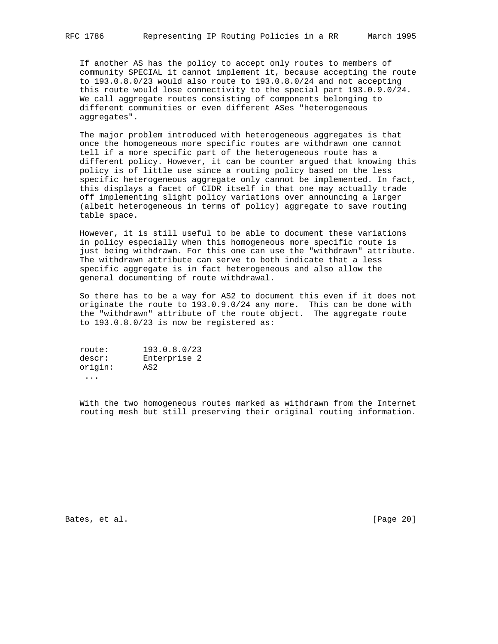If another AS has the policy to accept only routes to members of community SPECIAL it cannot implement it, because accepting the route to 193.0.8.0/23 would also route to 193.0.8.0/24 and not accepting this route would lose connectivity to the special part 193.0.9.0/24. We call aggregate routes consisting of components belonging to different communities or even different ASes "heterogeneous aggregates".

 The major problem introduced with heterogeneous aggregates is that once the homogeneous more specific routes are withdrawn one cannot tell if a more specific part of the heterogeneous route has a different policy. However, it can be counter argued that knowing this policy is of little use since a routing policy based on the less specific heterogeneous aggregate only cannot be implemented. In fact, this displays a facet of CIDR itself in that one may actually trade off implementing slight policy variations over announcing a larger (albeit heterogeneous in terms of policy) aggregate to save routing table space.

 However, it is still useful to be able to document these variations in policy especially when this homogeneous more specific route is just being withdrawn. For this one can use the "withdrawn" attribute. The withdrawn attribute can serve to both indicate that a less specific aggregate is in fact heterogeneous and also allow the general documenting of route withdrawal.

 So there has to be a way for AS2 to document this even if it does not originate the route to 193.0.9.0/24 any more. This can be done with the "withdrawn" attribute of the route object. The aggregate route to 193.0.8.0/23 is now be registered as:

 route: 193.0.8.0/23 descr: Enterprise 2 origin: AS2 ...

 With the two homogeneous routes marked as withdrawn from the Internet routing mesh but still preserving their original routing information.

Bates, et al. [Page 20]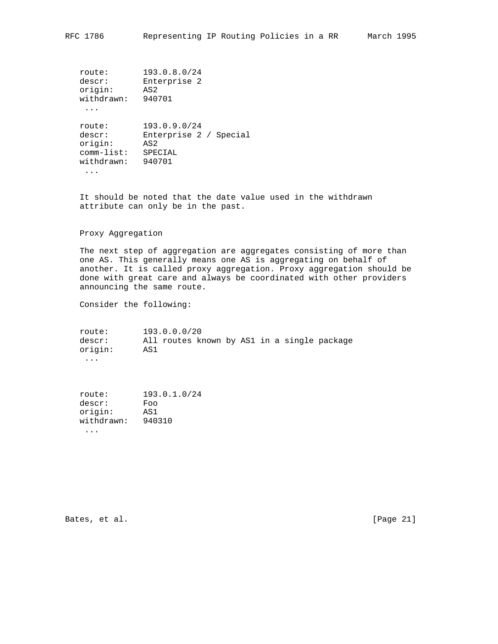route: 193.0.8.0/24 descr: Enterprise 2 origin: AS2 withdrawn: 940701 ... route: 193.0.9.0/24 descr: Enterprise 2 / Special origin: AS2 comm-list: SPECIAL withdrawn: 940701

...

 It should be noted that the date value used in the withdrawn attribute can only be in the past.

## Proxy Aggregation

 The next step of aggregation are aggregates consisting of more than one AS. This generally means one AS is aggregating on behalf of another. It is called proxy aggregation. Proxy aggregation should be done with great care and always be coordinated with other providers announcing the same route.

Consider the following:

 route: 193.0.0.0/20 descr: All routes known by AS1 in a single package origin: AS1 ...

 route: 193.0.1.0/24 descr: Foo origin: AS1 withdrawn: 940310 ...

Bates, et al. [Page 21]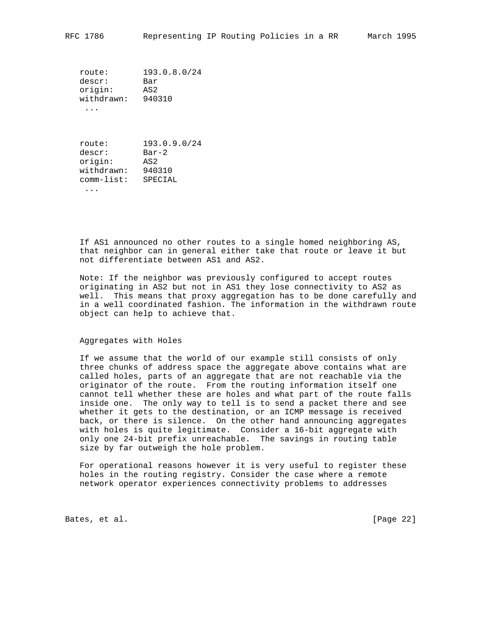route: 193.0.8.0/24 descr: Bar origin: AS2 withdrawn: 940310 ...

 route: 193.0.9.0/24 descr: Bar-2<br>origin: AS2 origin: withdrawn: 940310 comm-list: SPECIAL

...

 If AS1 announced no other routes to a single homed neighboring AS, that neighbor can in general either take that route or leave it but not differentiate between AS1 and AS2.

 Note: If the neighbor was previously configured to accept routes originating in AS2 but not in AS1 they lose connectivity to AS2 as well. This means that proxy aggregation has to be done carefully and in a well coordinated fashion. The information in the withdrawn route object can help to achieve that.

#### Aggregates with Holes

 If we assume that the world of our example still consists of only three chunks of address space the aggregate above contains what are called holes, parts of an aggregate that are not reachable via the originator of the route. From the routing information itself one cannot tell whether these are holes and what part of the route falls inside one. The only way to tell is to send a packet there and see whether it gets to the destination, or an ICMP message is received back, or there is silence. On the other hand announcing aggregates with holes is quite legitimate. Consider a 16-bit aggregate with only one 24-bit prefix unreachable. The savings in routing table size by far outweigh the hole problem.

 For operational reasons however it is very useful to register these holes in the routing registry. Consider the case where a remote network operator experiences connectivity problems to addresses

Bates, et al. [Page 22]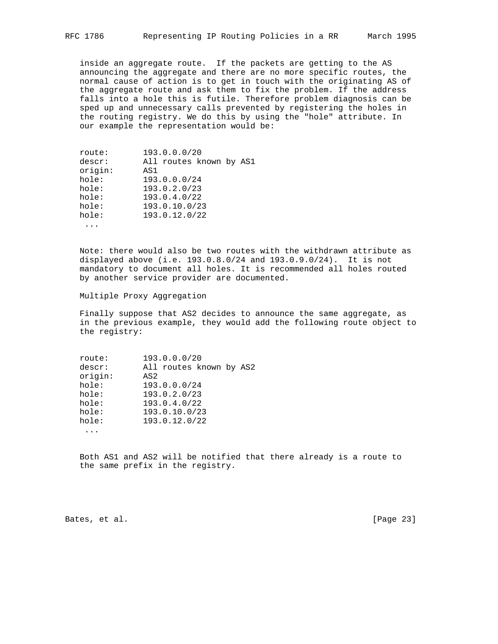inside an aggregate route. If the packets are getting to the AS announcing the aggregate and there are no more specific routes, the normal cause of action is to get in touch with the originating AS of the aggregate route and ask them to fix the problem. If the address falls into a hole this is futile. Therefore problem diagnosis can be sped up and unnecessary calls prevented by registering the holes in the routing registry. We do this by using the "hole" attribute. In our example the representation would be:

| route:  | 193.0.0.0/20            |
|---------|-------------------------|
| descr:  | All routes known by AS1 |
| origin: | AS1                     |
| hole:   | 193.0.0.0/24            |
| hole:   | 193.0.2.0/23            |
| hole:   | 193.0.4.0/22            |
| hole:   | 193.0.10.0/23           |
| hole:   | 193.0.12.0/22           |
|         |                         |

 Note: there would also be two routes with the withdrawn attribute as displayed above (i.e. 193.0.8.0/24 and 193.0.9.0/24). It is not mandatory to document all holes. It is recommended all holes routed by another service provider are documented.

Multiple Proxy Aggregation

 Finally suppose that AS2 decides to announce the same aggregate, as in the previous example, they would add the following route object to the registry:

| route:  | 193.0.0.0/20            |
|---------|-------------------------|
| descr:  | All routes known by AS2 |
| origin: | AS <sub>2</sub>         |
| hole:   | 193.0.0.0/24            |
| hole:   | 193.0.2.0/23            |
| hole:   | 193.0.4.0/22            |
| hole:   | 193.0.10.0/23           |
| hole:   | 193.0.12.0/22           |
|         |                         |

 Both AS1 and AS2 will be notified that there already is a route to the same prefix in the registry.

Bates, et al. [Page 23]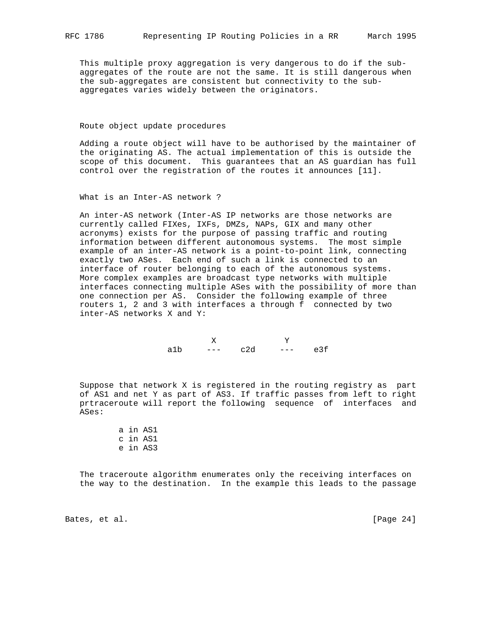This multiple proxy aggregation is very dangerous to do if the sub aggregates of the route are not the same. It is still dangerous when the sub-aggregates are consistent but connectivity to the sub aggregates varies widely between the originators.

#### Route object update procedures

 Adding a route object will have to be authorised by the maintainer of the originating AS. The actual implementation of this is outside the scope of this document. This guarantees that an AS guardian has full control over the registration of the routes it announces [11].

### What is an Inter-AS network ?

 An inter-AS network (Inter-AS IP networks are those networks are currently called FIXes, IXFs, DMZs, NAPs, GIX and many other acronyms) exists for the purpose of passing traffic and routing information between different autonomous systems. The most simple example of an inter-AS network is a point-to-point link, connecting exactly two ASes. Each end of such a link is connected to an interface of router belonging to each of the autonomous systems. More complex examples are broadcast type networks with multiple interfaces connecting multiple ASes with the possibility of more than one connection per AS. Consider the following example of three routers 1, 2 and 3 with interfaces a through f connected by two inter-AS networks X and Y:

 X Y a1b --- c2d --- e3f

 Suppose that network X is registered in the routing registry as part of AS1 and net Y as part of AS3. If traffic passes from left to right prtraceroute will report the following sequence of interfaces and ASes:

> a in AS1 c in AS1 e in AS3

 The traceroute algorithm enumerates only the receiving interfaces on the way to the destination. In the example this leads to the passage

Bates, et al. [Page 24]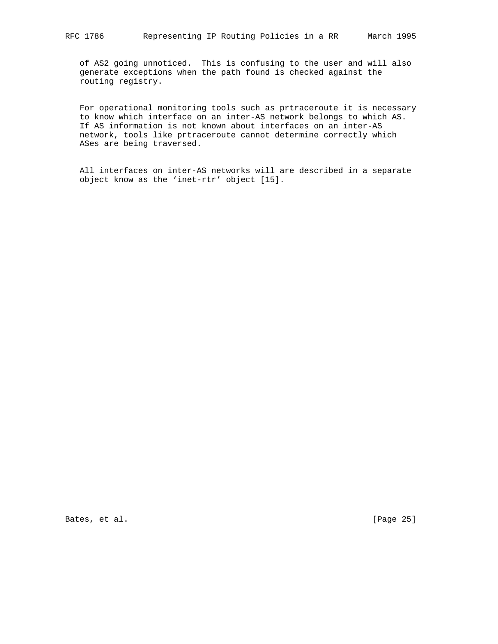of AS2 going unnoticed. This is confusing to the user and will also generate exceptions when the path found is checked against the routing registry.

 For operational monitoring tools such as prtraceroute it is necessary to know which interface on an inter-AS network belongs to which AS. If AS information is not known about interfaces on an inter-AS network, tools like prtraceroute cannot determine correctly which ASes are being traversed.

 All interfaces on inter-AS networks will are described in a separate object know as the 'inet-rtr' object [15].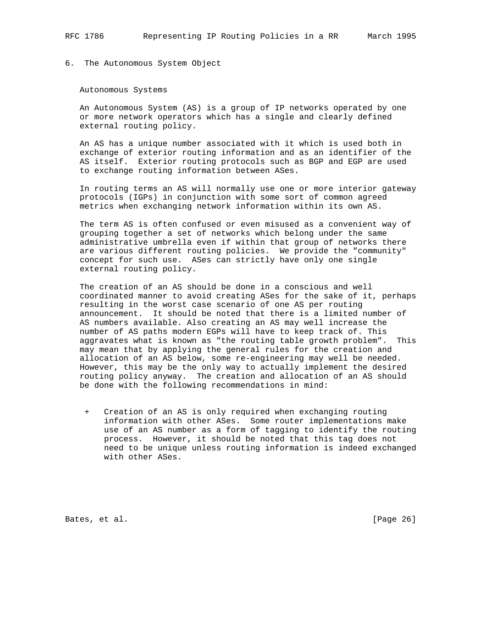## 6. The Autonomous System Object

#### Autonomous Systems

 An Autonomous System (AS) is a group of IP networks operated by one or more network operators which has a single and clearly defined external routing policy.

 An AS has a unique number associated with it which is used both in exchange of exterior routing information and as an identifier of the AS itself. Exterior routing protocols such as BGP and EGP are used to exchange routing information between ASes.

 In routing terms an AS will normally use one or more interior gateway protocols (IGPs) in conjunction with some sort of common agreed metrics when exchanging network information within its own AS.

 The term AS is often confused or even misused as a convenient way of grouping together a set of networks which belong under the same administrative umbrella even if within that group of networks there are various different routing policies. We provide the "community" concept for such use. ASes can strictly have only one single external routing policy.

 The creation of an AS should be done in a conscious and well coordinated manner to avoid creating ASes for the sake of it, perhaps resulting in the worst case scenario of one AS per routing announcement. It should be noted that there is a limited number of AS numbers available. Also creating an AS may well increase the number of AS paths modern EGPs will have to keep track of. This aggravates what is known as "the routing table growth problem". This may mean that by applying the general rules for the creation and allocation of an AS below, some re-engineering may well be needed. However, this may be the only way to actually implement the desired routing policy anyway. The creation and allocation of an AS should be done with the following recommendations in mind:

 + Creation of an AS is only required when exchanging routing information with other ASes. Some router implementations make use of an AS number as a form of tagging to identify the routing process. However, it should be noted that this tag does not need to be unique unless routing information is indeed exchanged with other ASes.

Bates, et al. [Page 26]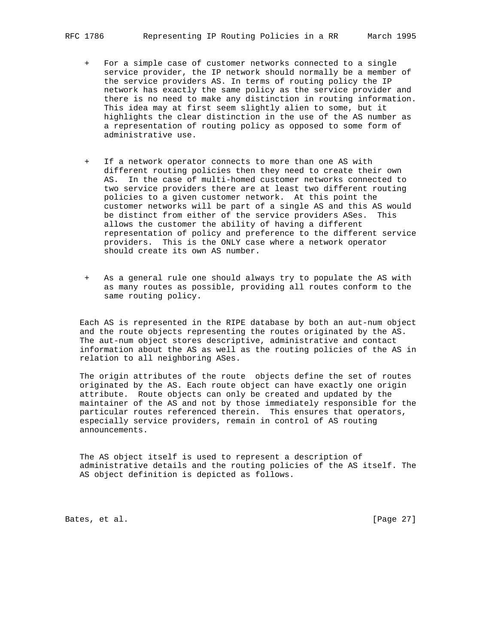- For a simple case of customer networks connected to a single service provider, the IP network should normally be a member of the service providers AS. In terms of routing policy the IP network has exactly the same policy as the service provider and there is no need to make any distinction in routing information. This idea may at first seem slightly alien to some, but it highlights the clear distinction in the use of the AS number as a representation of routing policy as opposed to some form of administrative use.
- + If a network operator connects to more than one AS with different routing policies then they need to create their own AS. In the case of multi-homed customer networks connected to two service providers there are at least two different routing policies to a given customer network. At this point the customer networks will be part of a single AS and this AS would be distinct from either of the service providers ASes. This allows the customer the ability of having a different representation of policy and preference to the different service providers. This is the ONLY case where a network operator should create its own AS number.
- + As a general rule one should always try to populate the AS with as many routes as possible, providing all routes conform to the same routing policy.

 Each AS is represented in the RIPE database by both an aut-num object and the route objects representing the routes originated by the AS. The aut-num object stores descriptive, administrative and contact information about the AS as well as the routing policies of the AS in relation to all neighboring ASes.

 The origin attributes of the route objects define the set of routes originated by the AS. Each route object can have exactly one origin attribute. Route objects can only be created and updated by the maintainer of the AS and not by those immediately responsible for the particular routes referenced therein. This ensures that operators, especially service providers, remain in control of AS routing announcements.

 The AS object itself is used to represent a description of administrative details and the routing policies of the AS itself. The AS object definition is depicted as follows.

Bates, et al. [Page 27]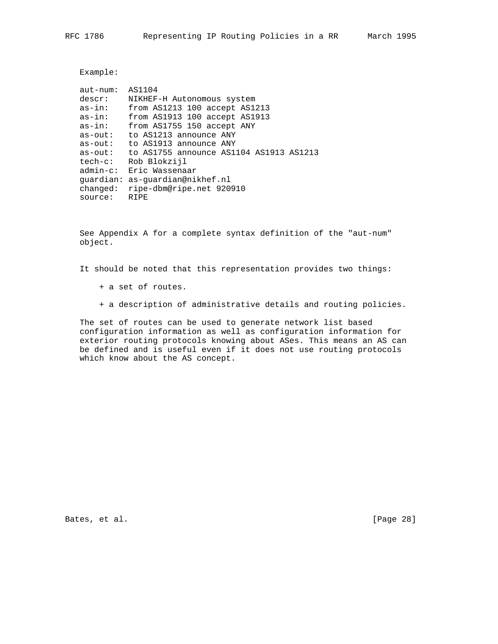Example:

| $aut-number:$ | AS1104                                  |
|---------------|-----------------------------------------|
|               |                                         |
| descr:        | NIKHEF-H Autonomous system              |
| $as-in:$      | from AS1213 100 accept AS1213           |
| $as-in:$      | from AS1913 100 accept AS1913           |
| as-in:        | from AS1755 150 accept ANY              |
| $as$ - $out:$ | to AS1213 announce ANY                  |
| $as$ - $out:$ | to AS1913 announce ANY                  |
| $as$ - $out:$ | to AS1755 announce AS1104 AS1913 AS1213 |
| tech-c:       | Rob Blokzijl                            |
| admin-c:      | Eric Wassenaar                          |
|               | quardian: as-quardian@nikhef.nl         |
| changed:      | ripe-dbm@ripe.net 920910                |
| source:       | RTPE                                    |

 See Appendix A for a complete syntax definition of the "aut-num" object.

It should be noted that this representation provides two things:

- + a set of routes.
- + a description of administrative details and routing policies.

 The set of routes can be used to generate network list based configuration information as well as configuration information for exterior routing protocols knowing about ASes. This means an AS can be defined and is useful even if it does not use routing protocols which know about the AS concept.

Bates, et al. [Page 28]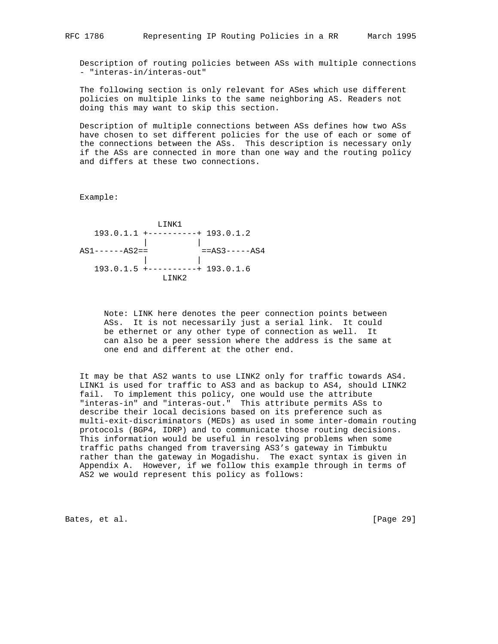Description of routing policies between ASs with multiple connections - "interas-in/interas-out"

 The following section is only relevant for ASes which use different policies on multiple links to the same neighboring AS. Readers not doing this may want to skip this section.

 Description of multiple connections between ASs defines how two ASs have chosen to set different policies for the use of each or some of the connections between the ASs. This description is necessary only if the ASs are connected in more than one way and the routing policy and differs at these two connections.

Example:

 LINK1 193.0.1.1 +----------+ 193.0.1.2 | |  $AS1----AS2 ==$   $==AS3----AS4$  | | 193.0.1.5 +----------+ 193.0.1.6 LINK2

> Note: LINK here denotes the peer connection points between ASs. It is not necessarily just a serial link. It could be ethernet or any other type of connection as well. It can also be a peer session where the address is the same at one end and different at the other end.

 It may be that AS2 wants to use LINK2 only for traffic towards AS4. LINK1 is used for traffic to AS3 and as backup to AS4, should LINK2 fail. To implement this policy, one would use the attribute "interas-in" and "interas-out." This attribute permits ASs to describe their local decisions based on its preference such as multi-exit-discriminators (MEDs) as used in some inter-domain routing protocols (BGP4, IDRP) and to communicate those routing decisions. This information would be useful in resolving problems when some traffic paths changed from traversing AS3's gateway in Timbuktu rather than the gateway in Mogadishu. The exact syntax is given in Appendix A. However, if we follow this example through in terms of AS2 we would represent this policy as follows:

Bates, et al. [Page 29]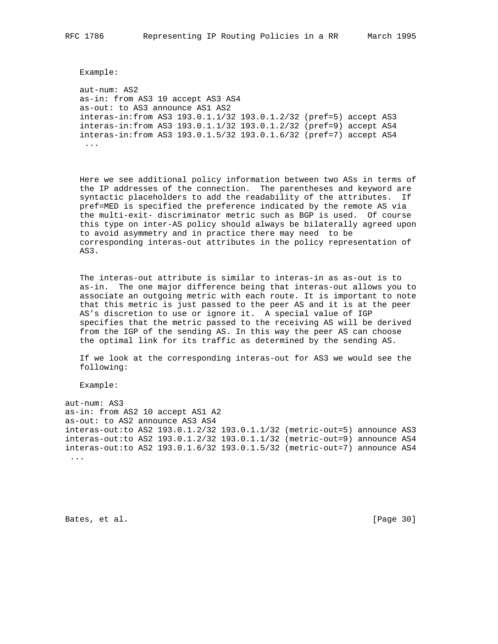Example:

 aut-num: AS2 as-in: from AS3 10 accept AS3 AS4 as-out: to AS3 announce AS1 AS2 interas-in:from AS3 193.0.1.1/32 193.0.1.2/32 (pref=5) accept AS3 interas-in:from AS3 193.0.1.1/32 193.0.1.2/32 (pref=9) accept AS4 interas-in:from AS3 193.0.1.5/32 193.0.1.6/32 (pref=7) accept AS4 ...

 Here we see additional policy information between two ASs in terms of the IP addresses of the connection. The parentheses and keyword are syntactic placeholders to add the readability of the attributes. If pref=MED is specified the preference indicated by the remote AS via the multi-exit- discriminator metric such as BGP is used. Of course this type on inter-AS policy should always be bilaterally agreed upon to avoid asymmetry and in practice there may need to be corresponding interas-out attributes in the policy representation of AS3.

 The interas-out attribute is similar to interas-in as as-out is to as-in. The one major difference being that interas-out allows you to associate an outgoing metric with each route. It is important to note that this metric is just passed to the peer AS and it is at the peer AS's discretion to use or ignore it. A special value of IGP specifies that the metric passed to the receiving AS will be derived from the IGP of the sending AS. In this way the peer AS can choose the optimal link for its traffic as determined by the sending AS.

 If we look at the corresponding interas-out for AS3 we would see the following:

Example:

aut-num: AS3 as-in: from AS2 10 accept AS1 A2 as-out: to AS2 announce AS3 AS4 interas-out:to AS2 193.0.1.2/32 193.0.1.1/32 (metric-out=5) announce AS3 interas-out:to AS2 193.0.1.2/32 193.0.1.1/32 (metric-out=9) announce AS4 interas-out:to AS2 193.0.1.6/32 193.0.1.5/32 (metric-out=7) announce AS4 ...

Bates, et al. [Page 30]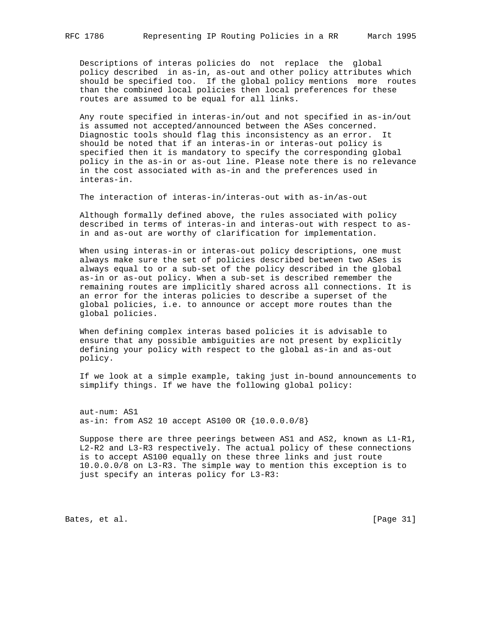Descriptions of interas policies do not replace the global policy described in as-in, as-out and other policy attributes which should be specified too. If the global policy mentions more routes than the combined local policies then local preferences for these routes are assumed to be equal for all links.

 Any route specified in interas-in/out and not specified in as-in/out is assumed not accepted/announced between the ASes concerned. Diagnostic tools should flag this inconsistency as an error. It should be noted that if an interas-in or interas-out policy is specified then it is mandatory to specify the corresponding global policy in the as-in or as-out line. Please note there is no relevance in the cost associated with as-in and the preferences used in interas-in.

The interaction of interas-in/interas-out with as-in/as-out

 Although formally defined above, the rules associated with policy described in terms of interas-in and interas-out with respect to as in and as-out are worthy of clarification for implementation.

 When using interas-in or interas-out policy descriptions, one must always make sure the set of policies described between two ASes is always equal to or a sub-set of the policy described in the global as-in or as-out policy. When a sub-set is described remember the remaining routes are implicitly shared across all connections. It is an error for the interas policies to describe a superset of the global policies, i.e. to announce or accept more routes than the global policies.

 When defining complex interas based policies it is advisable to ensure that any possible ambiguities are not present by explicitly defining your policy with respect to the global as-in and as-out policy.

 If we look at a simple example, taking just in-bound announcements to simplify things. If we have the following global policy:

 aut-num: AS1 as-in: from AS2 10 accept AS100 OR {10.0.0.0/8}

 Suppose there are three peerings between AS1 and AS2, known as L1-R1, L2-R2 and L3-R3 respectively. The actual policy of these connections is to accept AS100 equally on these three links and just route 10.0.0.0/8 on L3-R3. The simple way to mention this exception is to just specify an interas policy for L3-R3:

Bates, et al. [Page 31]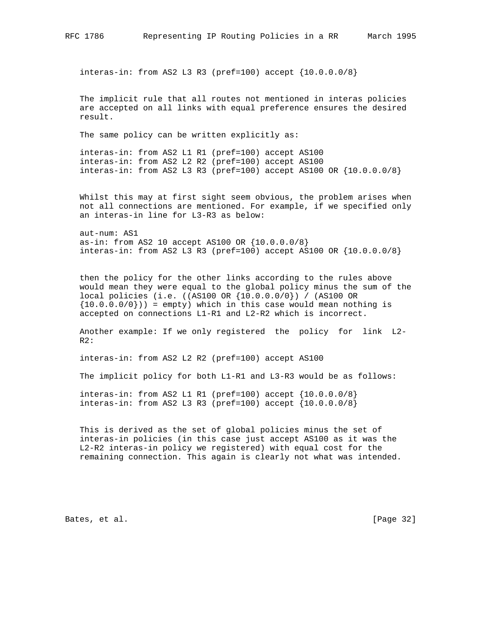interas-in: from AS2 L3 R3 (pref=100) accept  ${10.0.0.078}$ 

 The implicit rule that all routes not mentioned in interas policies are accepted on all links with equal preference ensures the desired result.

The same policy can be written explicitly as:

 interas-in: from AS2 L1 R1 (pref=100) accept AS100 interas-in: from AS2 L2 R2 (pref=100) accept AS100 interas-in: from AS2 L3 R3 (pref=100) accept AS100 OR {10.0.0.0/8}

 Whilst this may at first sight seem obvious, the problem arises when not all connections are mentioned. For example, if we specified only an interas-in line for L3-R3 as below:

 aut-num: AS1 as-in: from AS2 10 accept AS100 OR {10.0.0.0/8} interas-in: from AS2 L3 R3 (pref=100) accept AS100 OR {10.0.0.0/8}

 then the policy for the other links according to the rules above would mean they were equal to the global policy minus the sum of the local policies (i.e. ((AS100 OR {10.0.0.0/0}) / (AS100 OR  $\{10.0.0.0/0\})$  = empty) which in this case would mean nothing is accepted on connections L1-R1 and L2-R2 which is incorrect.

 Another example: If we only registered the policy for link L2- R2:

interas-in: from AS2 L2 R2 (pref=100) accept AS100

The implicit policy for both L1-R1 and L3-R3 would be as follows:

 interas-in: from AS2 L1 R1 (pref=100) accept {10.0.0.0/8} interas-in: from AS2 L3 R3 (pref=100) accept  $\{10.0.0.0/8\}$ 

 This is derived as the set of global policies minus the set of interas-in policies (in this case just accept AS100 as it was the L2-R2 interas-in policy we registered) with equal cost for the remaining connection. This again is clearly not what was intended.

Bates, et al. [Page 32]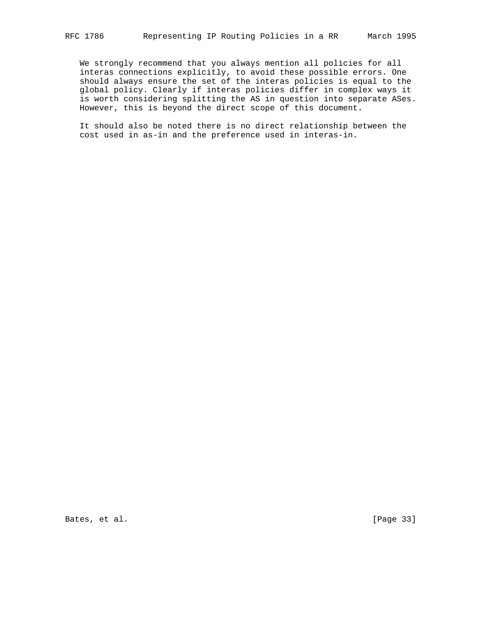We strongly recommend that you always mention all policies for all interas connections explicitly, to avoid these possible errors. One should always ensure the set of the interas policies is equal to the global policy. Clearly if interas policies differ in complex ways it is worth considering splitting the AS in question into separate ASes. However, this is beyond the direct scope of this document.

 It should also be noted there is no direct relationship between the cost used in as-in and the preference used in interas-in.

Bates, et al. [Page 33]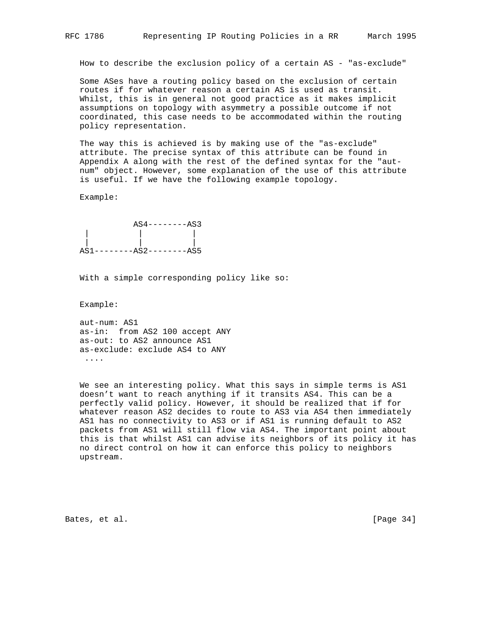How to describe the exclusion policy of a certain AS - "as-exclude"

 Some ASes have a routing policy based on the exclusion of certain routes if for whatever reason a certain AS is used as transit. Whilst, this is in general not good practice as it makes implicit assumptions on topology with asymmetry a possible outcome if not coordinated, this case needs to be accommodated within the routing policy representation.

 The way this is achieved is by making use of the "as-exclude" attribute. The precise syntax of this attribute can be found in Appendix A along with the rest of the defined syntax for the "aut num" object. However, some explanation of the use of this attribute is useful. If we have the following example topology.

Example:



With a simple corresponding policy like so:

Example:

 aut-num: AS1 as-in: from AS2 100 accept ANY as-out: to AS2 announce AS1 as-exclude: exclude AS4 to ANY ....

 We see an interesting policy. What this says in simple terms is AS1 doesn't want to reach anything if it transits AS4. This can be a perfectly valid policy. However, it should be realized that if for whatever reason AS2 decides to route to AS3 via AS4 then immediately AS1 has no connectivity to AS3 or if AS1 is running default to AS2 packets from AS1 will still flow via AS4. The important point about this is that whilst AS1 can advise its neighbors of its policy it has no direct control on how it can enforce this policy to neighbors upstream.

Bates, et al. [Page 34]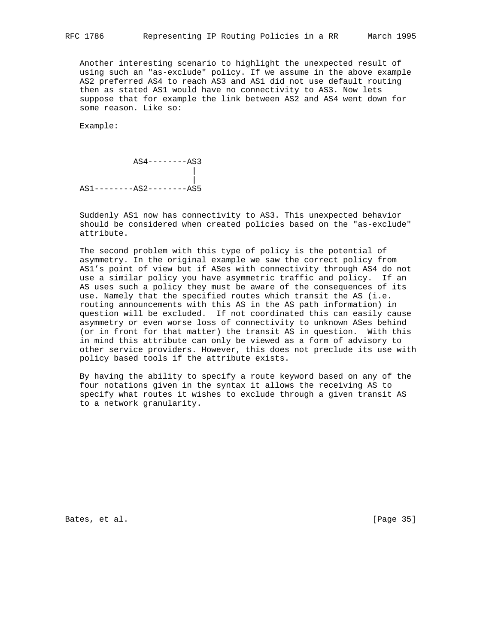Another interesting scenario to highlight the unexpected result of using such an "as-exclude" policy. If we assume in the above example AS2 preferred AS4 to reach AS3 and AS1 did not use default routing then as stated AS1 would have no connectivity to AS3. Now lets suppose that for example the link between AS2 and AS4 went down for some reason. Like so:

Example:

 AS4--------AS3 | | AS1--------AS2--------AS5

 Suddenly AS1 now has connectivity to AS3. This unexpected behavior should be considered when created policies based on the "as-exclude" attribute.

 The second problem with this type of policy is the potential of asymmetry. In the original example we saw the correct policy from AS1's point of view but if ASes with connectivity through AS4 do not use a similar policy you have asymmetric traffic and policy. If an AS uses such a policy they must be aware of the consequences of its use. Namely that the specified routes which transit the AS (i.e. routing announcements with this AS in the AS path information) in question will be excluded. If not coordinated this can easily cause asymmetry or even worse loss of connectivity to unknown ASes behind (or in front for that matter) the transit AS in question. With this in mind this attribute can only be viewed as a form of advisory to other service providers. However, this does not preclude its use with policy based tools if the attribute exists.

 By having the ability to specify a route keyword based on any of the four notations given in the syntax it allows the receiving AS to specify what routes it wishes to exclude through a given transit AS to a network granularity.

Bates, et al. [Page 35]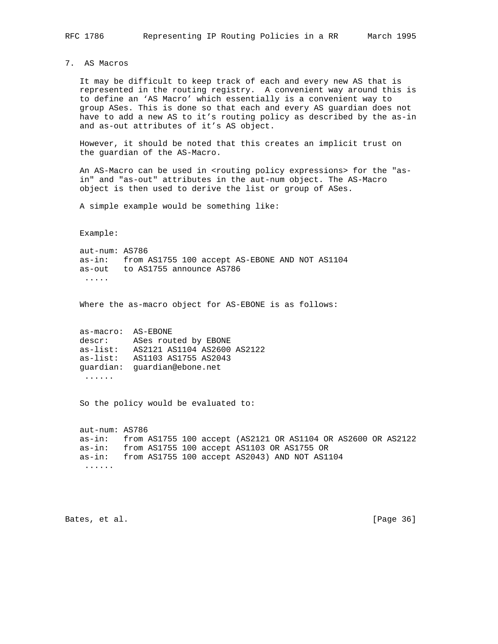7. AS Macros

 It may be difficult to keep track of each and every new AS that is represented in the routing registry. A convenient way around this is to define an 'AS Macro' which essentially is a convenient way to group ASes. This is done so that each and every AS guardian does not have to add a new AS to it's routing policy as described by the as-in and as-out attributes of it's AS object.

 However, it should be noted that this creates an implicit trust on the guardian of the AS-Macro.

An AS-Macro can be used in <routing policy expressions> for the "as in" and "as-out" attributes in the aut-num object. The AS-Macro object is then used to derive the list or group of ASes.

A simple example would be something like:

Example:

 aut-num: AS786 as-in: from AS1755 100 accept AS-EBONE AND NOT AS1104 as-out to AS1755 announce AS786 .....

Where the as-macro object for AS-EBONE is as follows:

| as-macro:  | AS-EBONE                    |
|------------|-----------------------------|
| descr:     | ASes routed by EBONE        |
| $as-list:$ | AS2121 AS1104 AS2600 AS2122 |
| $as-list:$ | AS1103 AS1755 AS2043        |
| quardian:  | quardian@ebone.net          |
|            |                             |

So the policy would be evaluated to:

 aut-num: AS786 as-in: from AS1755 100 accept (AS2121 OR AS1104 OR AS2600 OR AS2122 as-in: from AS1755 100 accept AS1103 OR AS1755 OR as-in: from AS1755 100 accept AS2043) AND NOT AS1104 ......

Bates, et al. [Page 36]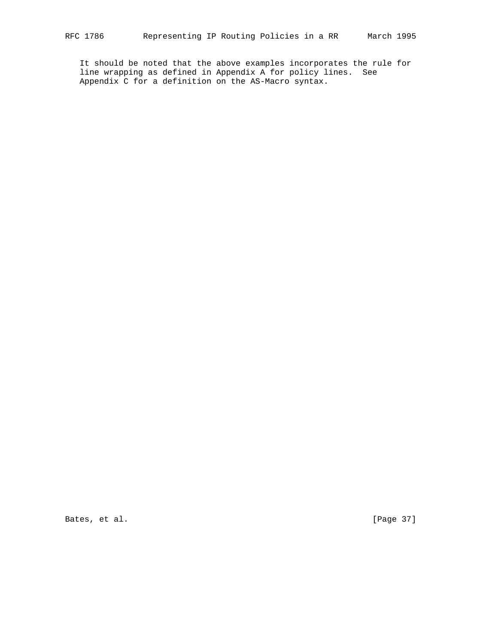It should be noted that the above examples incorporates the rule for line wrapping as defined in Appendix A for policy lines. See Appendix C for a definition on the AS-Macro syntax.

Bates, et al. [Page 37]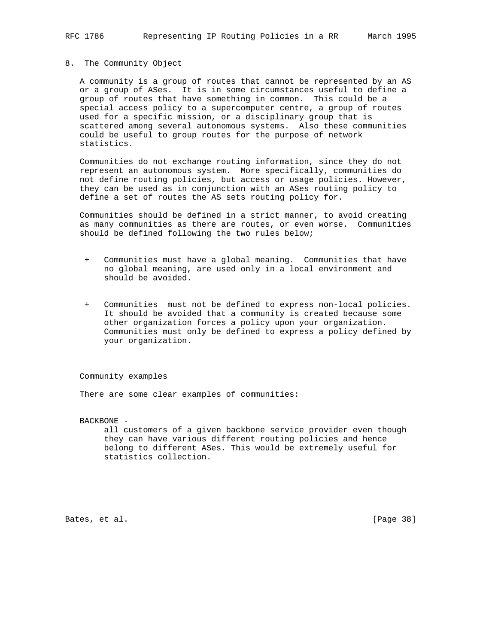# 8. The Community Object

 A community is a group of routes that cannot be represented by an AS or a group of ASes. It is in some circumstances useful to define a group of routes that have something in common. This could be a special access policy to a supercomputer centre, a group of routes used for a specific mission, or a disciplinary group that is scattered among several autonomous systems. Also these communities could be useful to group routes for the purpose of network statistics.

 Communities do not exchange routing information, since they do not represent an autonomous system. More specifically, communities do not define routing policies, but access or usage policies. However, they can be used as in conjunction with an ASes routing policy to define a set of routes the AS sets routing policy for.

 Communities should be defined in a strict manner, to avoid creating as many communities as there are routes, or even worse. Communities should be defined following the two rules below;

- + Communities must have a global meaning. Communities that have no global meaning, are used only in a local environment and should be avoided.
- + Communities must not be defined to express non-local policies. It should be avoided that a community is created because some other organization forces a policy upon your organization. Communities must only be defined to express a policy defined by your organization.

Community examples

There are some clear examples of communities:

BACKBONE -

 all customers of a given backbone service provider even though they can have various different routing policies and hence belong to different ASes. This would be extremely useful for statistics collection.

Bates, et al. [Page 38]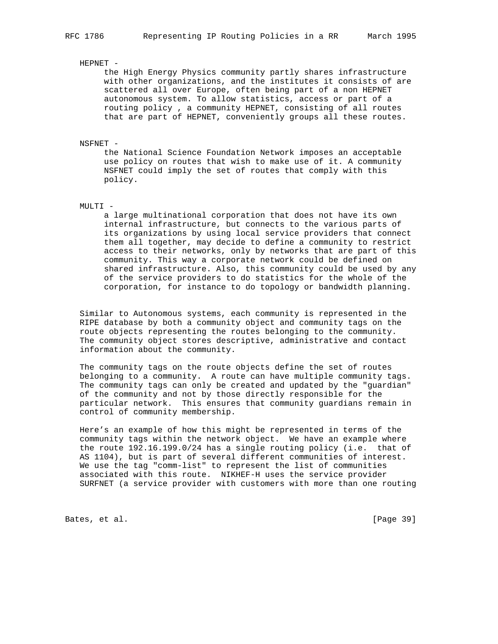### HEPNET -

 the High Energy Physics community partly shares infrastructure with other organizations, and the institutes it consists of are scattered all over Europe, often being part of a non HEPNET autonomous system. To allow statistics, access or part of a routing policy , a community HEPNET, consisting of all routes that are part of HEPNET, conveniently groups all these routes.

#### NSFNET -

 the National Science Foundation Network imposes an acceptable use policy on routes that wish to make use of it. A community NSFNET could imply the set of routes that comply with this policy.

# MULTI -

 a large multinational corporation that does not have its own internal infrastructure, but connects to the various parts of its organizations by using local service providers that connect them all together, may decide to define a community to restrict access to their networks, only by networks that are part of this community. This way a corporate network could be defined on shared infrastructure. Also, this community could be used by any of the service providers to do statistics for the whole of the corporation, for instance to do topology or bandwidth planning.

 Similar to Autonomous systems, each community is represented in the RIPE database by both a community object and community tags on the route objects representing the routes belonging to the community. The community object stores descriptive, administrative and contact information about the community.

 The community tags on the route objects define the set of routes belonging to a community. A route can have multiple community tags. The community tags can only be created and updated by the "guardian" of the community and not by those directly responsible for the particular network. This ensures that community guardians remain in control of community membership.

 Here's an example of how this might be represented in terms of the community tags within the network object. We have an example where the route 192.16.199.0/24 has a single routing policy (i.e. that of AS 1104), but is part of several different communities of interest. We use the tag "comm-list" to represent the list of communities associated with this route. NIKHEF-H uses the service provider SURFNET (a service provider with customers with more than one routing

Bates, et al. [Page 39]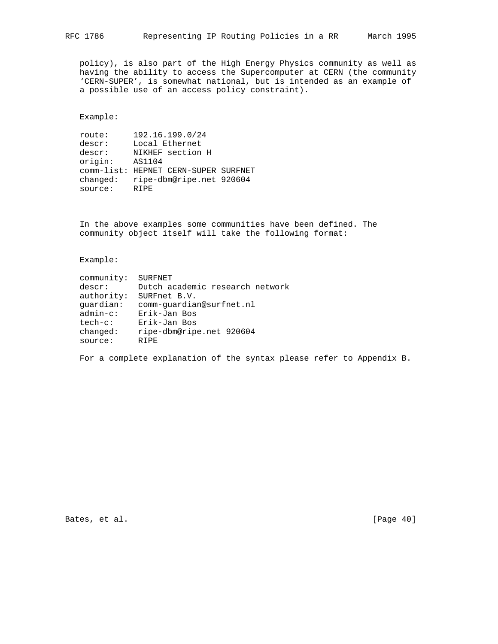policy), is also part of the High Energy Physics community as well as having the ability to access the Supercomputer at CERN (the community 'CERN-SUPER', is somewhat national, but is intended as an example of a possible use of an access policy constraint).

Example:

| route:     | 192.16.199.0/24           |  |
|------------|---------------------------|--|
| descr:     | Local Ethernet            |  |
| descr:     | NIKHEF section H          |  |
| origin:    | AS1104                    |  |
| comm-list: | HEPNET CERN-SUPER SURFNET |  |
| changed:   | ripe-dbm@ripe.net 920604  |  |
| source:    | R T P F.                  |  |

 In the above examples some communities have been defined. The community object itself will take the following format:

Example:

| community:  | SURFNET                         |
|-------------|---------------------------------|
| descr:      | Dutch academic research network |
| authority:  | SURFnet B.V.                    |
| quardian:   | comm-quardian@surfnet.nl        |
| $admin-c$ : | Erik-Jan Bos                    |
| $tech-c$ :  | Erik-Jan Bos                    |
| changed:    | ripe-dbm@ripe.net 920604        |
| source:     | RTPE                            |
|             |                                 |

For a complete explanation of the syntax please refer to Appendix B.

Bates, et al. [Page 40]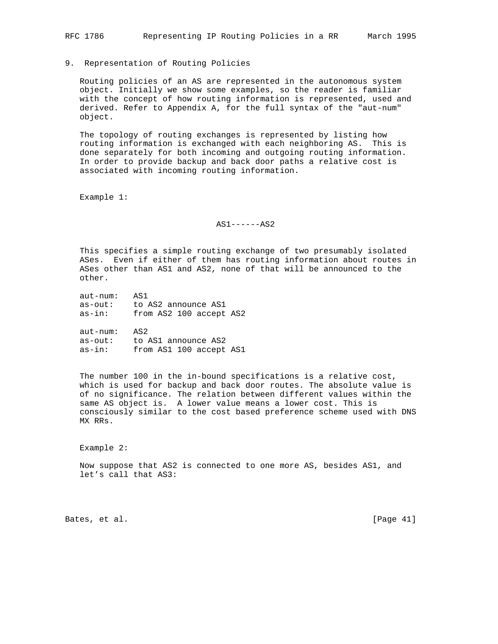9. Representation of Routing Policies

 Routing policies of an AS are represented in the autonomous system object. Initially we show some examples, so the reader is familiar with the concept of how routing information is represented, used and derived. Refer to Appendix A, for the full syntax of the "aut-num" object.

 The topology of routing exchanges is represented by listing how routing information is exchanged with each neighboring AS. This is done separately for both incoming and outgoing routing information. In order to provide backup and back door paths a relative cost is associated with incoming routing information.

Example 1:

AS1------AS2

 This specifies a simple routing exchange of two presumably isolated ASes. Even if either of them has routing information about routes in ASes other than AS1 and AS2, none of that will be announced to the other.

| $aut-number:$ | AS1                     |
|---------------|-------------------------|
| as-out:       | to AS2 announce AS1     |
| $as-in:$      | from AS2 100 accept AS2 |

 aut-num: AS2 as-out: to AS1 announce AS2 as-in: from AS1 100 accept AS1

 The number 100 in the in-bound specifications is a relative cost, which is used for backup and back door routes. The absolute value is of no significance. The relation between different values within the same AS object is. A lower value means a lower cost. This is consciously similar to the cost based preference scheme used with DNS MX RRs.

Example 2:

 Now suppose that AS2 is connected to one more AS, besides AS1, and let's call that AS3:

Bates, et al. [Page 41]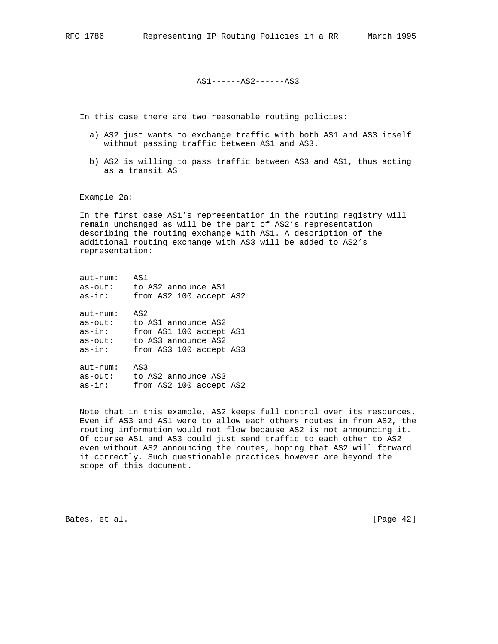AS1------AS2------AS3

In this case there are two reasonable routing policies:

- a) AS2 just wants to exchange traffic with both AS1 and AS3 itself without passing traffic between AS1 and AS3.
- b) AS2 is willing to pass traffic between AS3 and AS1, thus acting as a transit AS

Example 2a:

 In the first case AS1's representation in the routing registry will remain unchanged as will be the part of AS2's representation describing the routing exchange with AS1. A description of the additional routing exchange with AS3 will be added to AS2's representation:

| aut-num:      | AS1                     |
|---------------|-------------------------|
| $as$ - $out:$ | to AS2 announce AS1     |
| $as-in:$      | from AS2 100 accept AS2 |
| $aut-num:$    | AS2                     |
| $as$ - $out:$ | to AS1 announce AS2     |
| $as-in:$      | from AS1 100 accept AS1 |
| $as$ - $out:$ | to AS3 announce AS2     |
| $as-in:$      | from AS3 100 accept AS3 |
| aut-num:      | AS3                     |
| as-out:       | to AS2 announce AS3     |
| $as-in:$      | from AS2 100 accept AS2 |

 Note that in this example, AS2 keeps full control over its resources. Even if AS3 and AS1 were to allow each others routes in from AS2, the routing information would not flow because AS2 is not announcing it. Of course AS1 and AS3 could just send traffic to each other to AS2 even without AS2 announcing the routes, hoping that AS2 will forward it correctly. Such questionable practices however are beyond the scope of this document.

Bates, et al. [Page 42]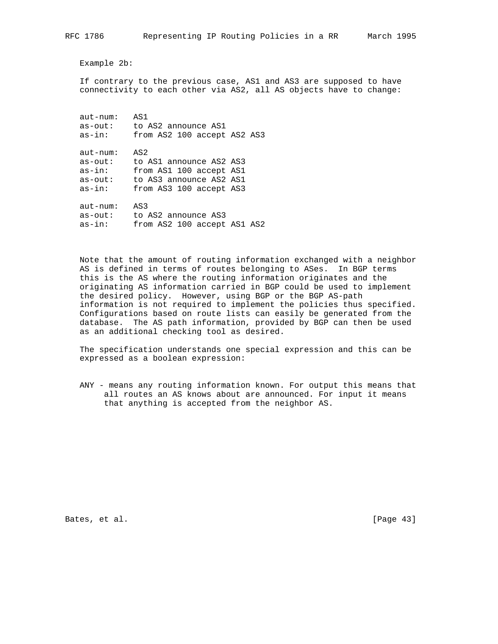Example 2b:

 If contrary to the previous case, AS1 and AS3 are supposed to have connectivity to each other via AS2, all AS objects have to change:

 aut-num: AS1 as-out: to AS2 announce AS1 as-in: from AS2 100 accept AS2 AS3 aut-num: AS2 as-out: to AS1 announce AS2 AS3 as-in: from AS1 100 accept AS1 as-out: to AS3 announce AS2 AS1 as-in: from AS3 100 accept AS3 aut-num: AS3 as-out: to AS2 announce AS3 as-in: from AS2 100 accept AS1 AS2

 Note that the amount of routing information exchanged with a neighbor AS is defined in terms of routes belonging to ASes. In BGP terms this is the AS where the routing information originates and the originating AS information carried in BGP could be used to implement the desired policy. However, using BGP or the BGP AS-path information is not required to implement the policies thus specified. Configurations based on route lists can easily be generated from the database. The AS path information, provided by BGP can then be used as an additional checking tool as desired.

 The specification understands one special expression and this can be expressed as a boolean expression:

 ANY - means any routing information known. For output this means that all routes an AS knows about are announced. For input it means that anything is accepted from the neighbor AS.

Bates, et al. [Page 43]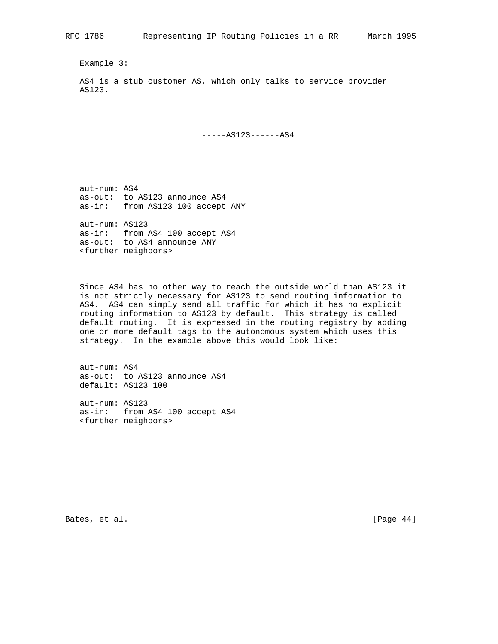Example 3:

 AS4 is a stub customer AS, which only talks to service provider AS123.



 aut-num: AS4 as-out: to AS123 announce AS4 as-in: from AS123 100 accept ANY

 aut-num: AS123 as-in: from AS4 100 accept AS4 as-out: to AS4 announce ANY <further neighbors>

 Since AS4 has no other way to reach the outside world than AS123 it is not strictly necessary for AS123 to send routing information to AS4. AS4 can simply send all traffic for which it has no explicit routing information to AS123 by default. This strategy is called default routing. It is expressed in the routing registry by adding one or more default tags to the autonomous system which uses this strategy. In the example above this would look like:

 aut-num: AS4 as-out: to AS123 announce AS4 default: AS123 100

 aut-num: AS123 as-in: from AS4 100 accept AS4 <further neighbors>

Bates, et al. [Page 44]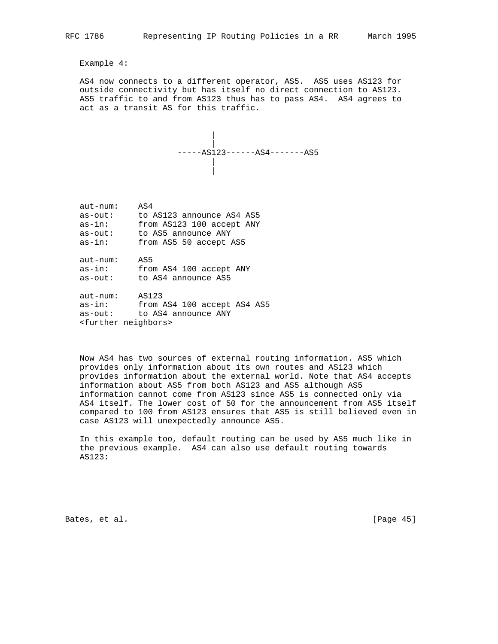Example 4:

 AS4 now connects to a different operator, AS5. AS5 uses AS123 for outside connectivity but has itself no direct connection to AS123. AS5 traffic to and from AS123 thus has to pass AS4. AS4 agrees to act as a transit AS for this traffic.

$$
\begin{array}{c|c}\n & \\
 \hline\n & \\
 - & \\
 \hline\n & \\
 \hline\n & \\
 \hline\n & \\
 \hline\n & \\
 \hline\n & \\
 \hline\n & \\
 \hline\n & \\
 \hline\n & \\
 \hline\n & \\
 \hline\n & \\
 \hline\n & \\
 \hline\n & \\
 \hline\n & \\
 \hline\n & \\
 \hline\n & \\
 \hline\n & \\
 \hline\n & \\
 \hline\n & \\
 \hline\n & \\
 \hline\n & \\
 \hline\n & \\
 \hline\n & \\
 \hline\n & \\
 \hline\n & \\
 \hline\n & \\
 \hline\n & \\
 \hline\n & \\
 \hline\n & \\
 \hline\n & \\
 \hline\n & \\
 \hline\n & \\
 \hline\n & \\
 \hline\n & \\
 \hline\n & \\
 \hline\n & \\
 \hline\n & \\
 \hline\n & \\
 \hline\n & \\
 \hline\n & \\
 \hline\n & \\
 \hline\n & \\
 \hline\n & \\
 \hline\n & \\
 \hline\n & \\
 \hline\n & \\
 \hline\n & \\
 \hline\n & \\
 \hline\n & \\
 \hline\n & \\
 \hline\n & \\
 \hline\n & \\
 \hline\n & \\
 \hline\n & \\
 \hline\n & \\
 \hline\n & \\
 \hline\n & \\
 \hline\n & \\
 \hline\n & \\
 \hline\n & \\
 \hline\n & \\
 \hline\n & \\
 \hline\n & \\
 \hline\n & \\
 \hline\n & \\
 \hline\n & \\
 \hline\n & \\
 \hline\n & \\
 \hline\n & \\
 \hline\n & \\
 \hline\n & \\
 \hline\n & \\
 \hline\n & \\
 \hline\n & \\
 \hline\n & \\
 \hline\n & \\
 \hline\n & \\
 \hline\n & \\
 \hline\n & \\
 \hline\n & \\
 \hline\n & \\
 \hline\n & \\
 \hline\n & \\
 \hline\n & \\
 \hline\n & \\
 \hline\n & \\
 \hline\n & \\
 \hline\n & \\
 \hline\n & \\
 \hline\n & \\
 \hline\n & \\
 \hline\n & \\
 \hline\n &
$$

| $aut-num:$    | AS4                              |
|---------------|----------------------------------|
| $as$ - $out:$ | to AS123 announce AS4 AS5        |
| $as-in:$      | from AS123 100 accept ANY        |
| $as$ - $out:$ | to AS5 announce ANY              |
| $as-in:$      | from AS5 50 accept AS5           |
| $aut-number:$ | AS5                              |
| $as-in:$      | from AS4 100 accept ANY          |
| $as$ - $out:$ | to AS4 announce AS5              |
| $aut-number:$ | AS123                            |
| $as-in:$      | from AS4 100 accept AS4 AS5      |
| $as$ - $out:$ | to AS4 announce ANY              |
|               | <further neighbors=""></further> |

 Now AS4 has two sources of external routing information. AS5 which provides only information about its own routes and AS123 which provides information about the external world. Note that AS4 accepts information about AS5 from both AS123 and AS5 although AS5 information cannot come from AS123 since AS5 is connected only via AS4 itself. The lower cost of 50 for the announcement from AS5 itself compared to 100 from AS123 ensures that AS5 is still believed even in case AS123 will unexpectedly announce AS5.

 In this example too, default routing can be used by AS5 much like in the previous example. AS4 can also use default routing towards AS123:

Bates, et al. [Page 45]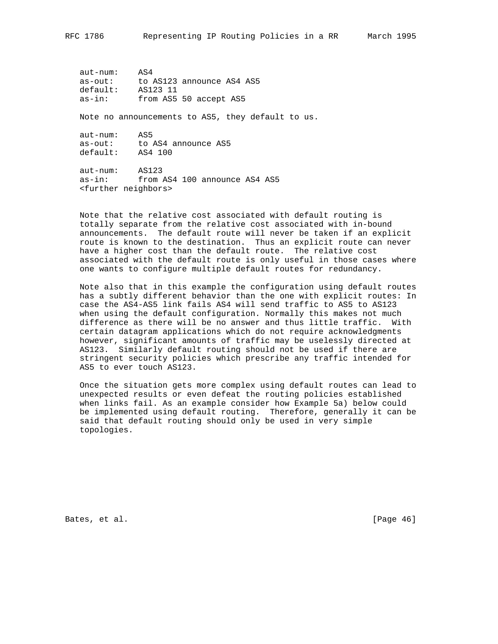aut-num: AS4 as-out: to AS123 announce AS4 AS5 default: AS123 11 as-in: from AS5 50 accept AS5

Note no announcements to AS5, they default to us.

| $aut-number:$ | AS5                 |
|---------------|---------------------|
| as-out:       | to AS4 announce AS5 |
| default:      | AS4 100             |

 aut-num: AS123 as-in: from AS4 100 announce AS4 AS5 <further neighbors>

 Note that the relative cost associated with default routing is totally separate from the relative cost associated with in-bound announcements. The default route will never be taken if an explicit route is known to the destination. Thus an explicit route can never have a higher cost than the default route. The relative cost associated with the default route is only useful in those cases where one wants to configure multiple default routes for redundancy.

 Note also that in this example the configuration using default routes has a subtly different behavior than the one with explicit routes: In case the AS4-AS5 link fails AS4 will send traffic to AS5 to AS123 when using the default configuration. Normally this makes not much difference as there will be no answer and thus little traffic. With certain datagram applications which do not require acknowledgments however, significant amounts of traffic may be uselessly directed at AS123. Similarly default routing should not be used if there are stringent security policies which prescribe any traffic intended for AS5 to ever touch AS123.

 Once the situation gets more complex using default routes can lead to unexpected results or even defeat the routing policies established when links fail. As an example consider how Example 5a) below could be implemented using default routing. Therefore, generally it can be said that default routing should only be used in very simple topologies.

Bates, et al. [Page 46]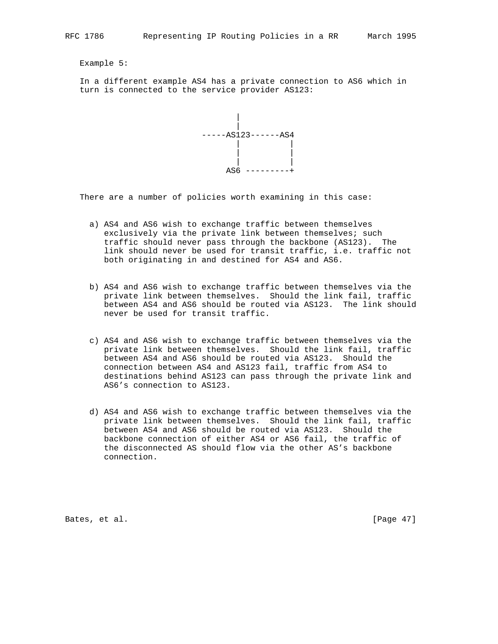Example 5:

 In a different example AS4 has a private connection to AS6 which in turn is connected to the service provider AS123:



There are a number of policies worth examining in this case:

- a) AS4 and AS6 wish to exchange traffic between themselves exclusively via the private link between themselves; such traffic should never pass through the backbone (AS123). The link should never be used for transit traffic, i.e. traffic not both originating in and destined for AS4 and AS6.
- b) AS4 and AS6 wish to exchange traffic between themselves via the private link between themselves. Should the link fail, traffic between AS4 and AS6 should be routed via AS123. The link should never be used for transit traffic.
- c) AS4 and AS6 wish to exchange traffic between themselves via the private link between themselves. Should the link fail, traffic between AS4 and AS6 should be routed via AS123. Should the connection between AS4 and AS123 fail, traffic from AS4 to destinations behind AS123 can pass through the private link and AS6's connection to AS123.
- d) AS4 and AS6 wish to exchange traffic between themselves via the private link between themselves. Should the link fail, traffic between AS4 and AS6 should be routed via AS123. Should the backbone connection of either AS4 or AS6 fail, the traffic of the disconnected AS should flow via the other AS's backbone connection.

Bates, et al. [Page 47]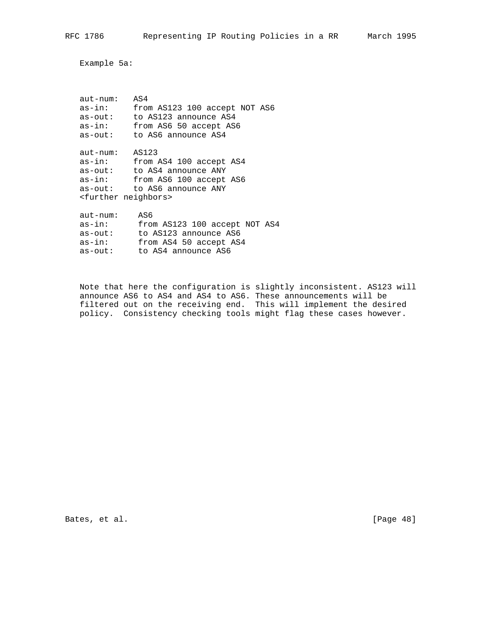Example 5a:

| aut-num: | AS4                              |
|----------|----------------------------------|
| as-in:   | from AS123 100 accept NOT AS6    |
| as-out:  | to AS123 announce AS4            |
| as-in:   | from AS6 50 accept AS6           |
| as-out:  | to AS6 announce AS4              |
| aut-num: | AS123                            |
| as-in:   | from AS4 100 accept AS4          |
| as-out:  | to AS4 announce ANY              |
| as-in:   | from AS6 100 accept AS6          |
| as-out:  | to AS6 announce ANY              |
|          | <further neighbors=""></further> |
| aut-num: | AS6                              |
| as-in:   | from AS123 100 accept NOT AS4    |
| as-out:  | to AS123 announce AS6            |
| as-in:   | from AS4 50 accept AS4           |

as-out: to AS4 announce AS6

 Note that here the configuration is slightly inconsistent. AS123 will announce AS6 to AS4 and AS4 to AS6. These announcements will be filtered out on the receiving end. This will implement the desired policy. Consistency checking tools might flag these cases however.

Bates, et al. [Page 48]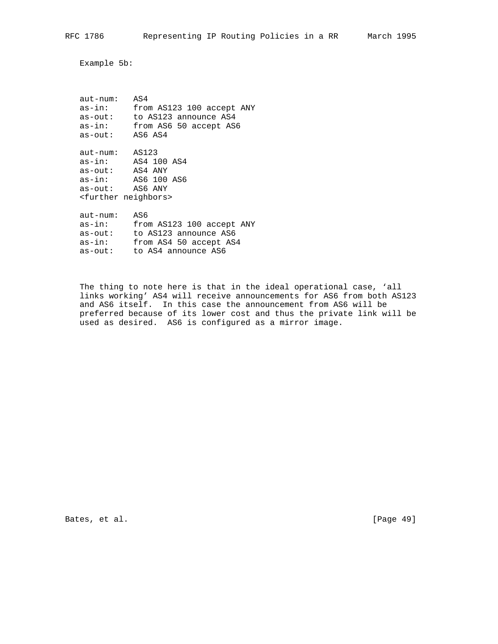Example 5b:

| aut-num:                         | AS4                       |
|----------------------------------|---------------------------|
| as-in:                           | from AS123 100 accept ANY |
| as-out:                          | to AS123 announce AS4     |
| as-in:                           | from AS6 50 accept AS6    |
| as-out:                          | AS6 AS4                   |
| aut-num: AS123                   |                           |
|                                  | $as-in:$ $AS4$ 100 $AS4$  |
| as-out: AS4 ANY                  |                           |
|                                  | as-in: AS6 100 AS6        |
| as-out: AS6 ANY                  |                           |
| <further neighbors=""></further> |                           |
| aut-num:                         | AS6                       |
| as-in:                           | from AS123 100 accept ANY |
| as-out:                          | to AS123 announce AS6     |
| as-in:                           | from AS4 50 accept AS4    |
| as-out:                          | to AS4 announce AS6       |

 The thing to note here is that in the ideal operational case, 'all links working' AS4 will receive announcements for AS6 from both AS123 and AS6 itself. In this case the announcement from AS6 will be preferred because of its lower cost and thus the private link will be used as desired. AS6 is configured as a mirror image.

Bates, et al. [Page 49]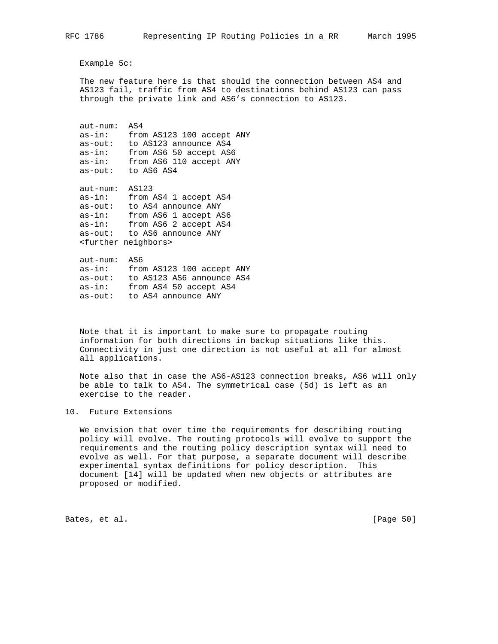Example 5c:

 The new feature here is that should the connection between AS4 and AS123 fail, traffic from AS4 to destinations behind AS123 can pass through the private link and AS6's connection to AS123.

 aut-num: AS4 as-in: from AS123 100 accept ANY as-out: to AS123 announce AS4 as-in: from AS6 50 accept AS6 as-in: from AS6 110 accept ANY as-out: to AS6 AS4 aut-num: AS123 as-in: from AS4 1 accept AS4 as-out: to AS4 announce ANY as-in: from AS6 1 accept AS6 as-in: from AS6 2 accept AS4 as-out: to AS6 announce ANY <further neighbors> aut-num: AS6 as-in: from AS123 100 accept ANY as-out: to AS123 AS6 announce AS4 as-in: from AS4 50 accept AS4

as-out: to AS4 announce ANY

 Note that it is important to make sure to propagate routing information for both directions in backup situations like this. Connectivity in just one direction is not useful at all for almost all applications.

 Note also that in case the AS6-AS123 connection breaks, AS6 will only be able to talk to AS4. The symmetrical case (5d) is left as an exercise to the reader.

## 10. Future Extensions

 We envision that over time the requirements for describing routing policy will evolve. The routing protocols will evolve to support the requirements and the routing policy description syntax will need to evolve as well. For that purpose, a separate document will describe experimental syntax definitions for policy description. This document [14] will be updated when new objects or attributes are proposed or modified.

Bates, et al. [Page 50]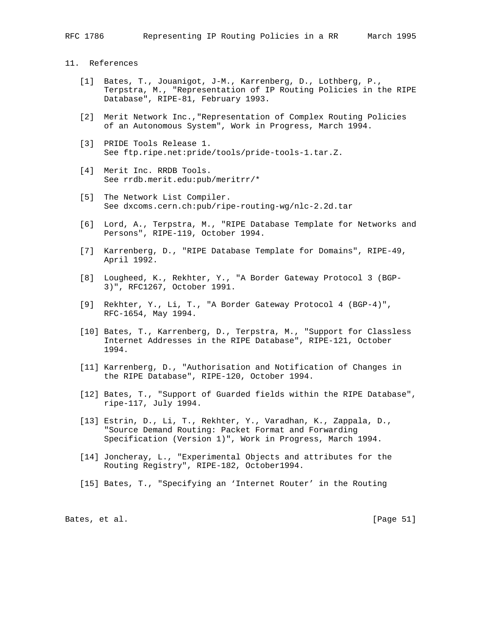# 11. References

- [1] Bates, T., Jouanigot, J-M., Karrenberg, D., Lothberg, P., Terpstra, M., "Representation of IP Routing Policies in the RIPE Database", RIPE-81, February 1993.
- [2] Merit Network Inc.,"Representation of Complex Routing Policies of an Autonomous System", Work in Progress, March 1994.
- [3] PRIDE Tools Release 1. See ftp.ripe.net:pride/tools/pride-tools-1.tar.Z.
- [4] Merit Inc. RRDB Tools. See rrdb.merit.edu:pub/meritrr/\*
- [5] The Network List Compiler. See dxcoms.cern.ch:pub/ripe-routing-wg/nlc-2.2d.tar
- [6] Lord, A., Terpstra, M., "RIPE Database Template for Networks and Persons", RIPE-119, October 1994.
- [7] Karrenberg, D., "RIPE Database Template for Domains", RIPE-49, April 1992.
- [8] Lougheed, K., Rekhter, Y., "A Border Gateway Protocol 3 (BGP- 3)", RFC1267, October 1991.
- [9] Rekhter, Y., Li, T., "A Border Gateway Protocol 4 (BGP-4)", RFC-1654, May 1994.
- [10] Bates, T., Karrenberg, D., Terpstra, M., "Support for Classless Internet Addresses in the RIPE Database", RIPE-121, October 1994.
- [11] Karrenberg, D., "Authorisation and Notification of Changes in the RIPE Database", RIPE-120, October 1994.
- [12] Bates, T., "Support of Guarded fields within the RIPE Database", ripe-117, July 1994.
- [13] Estrin, D., Li, T., Rekhter, Y., Varadhan, K., Zappala, D., "Source Demand Routing: Packet Format and Forwarding Specification (Version 1)", Work in Progress, March 1994.
- [14] Joncheray, L., "Experimental Objects and attributes for the Routing Registry", RIPE-182, October1994.
- [15] Bates, T., "Specifying an 'Internet Router' in the Routing

Bates, et al. [Page 51]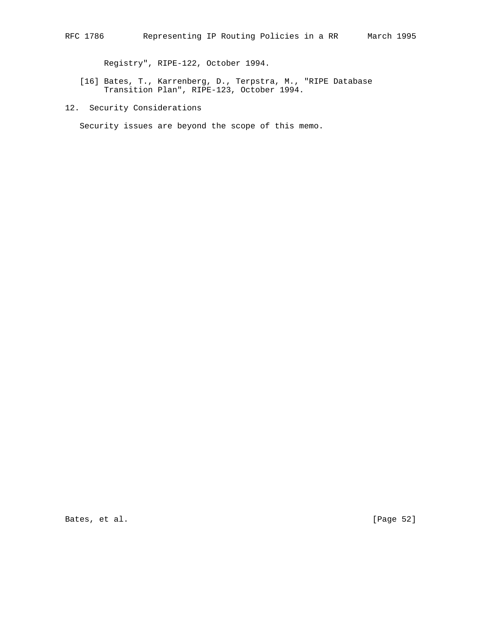Registry", RIPE-122, October 1994.

- [16] Bates, T., Karrenberg, D., Terpstra, M., "RIPE Database Transition Plan", RIPE-123, October 1994.
- 12. Security Considerations

Security issues are beyond the scope of this memo.

Bates, et al. [Page 52]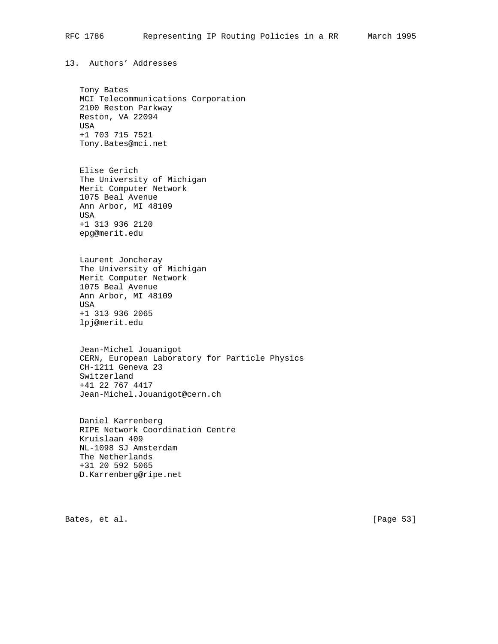13. Authors' Addresses

 Tony Bates MCI Telecommunications Corporation 2100 Reston Parkway Reston, VA 22094 USA +1 703 715 7521 Tony.Bates@mci.net

 Elise Gerich The University of Michigan Merit Computer Network 1075 Beal Avenue Ann Arbor, MI 48109 USA +1 313 936 2120 epg@merit.edu

 Laurent Joncheray The University of Michigan Merit Computer Network 1075 Beal Avenue Ann Arbor, MI 48109 USA +1 313 936 2065 lpj@merit.edu

 Jean-Michel Jouanigot CERN, European Laboratory for Particle Physics CH-1211 Geneva 23 Switzerland +41 22 767 4417 Jean-Michel.Jouanigot@cern.ch

 Daniel Karrenberg RIPE Network Coordination Centre Kruislaan 409 NL-1098 SJ Amsterdam The Netherlands +31 20 592 5065 D.Karrenberg@ripe.net

Bates, et al. [Page 53]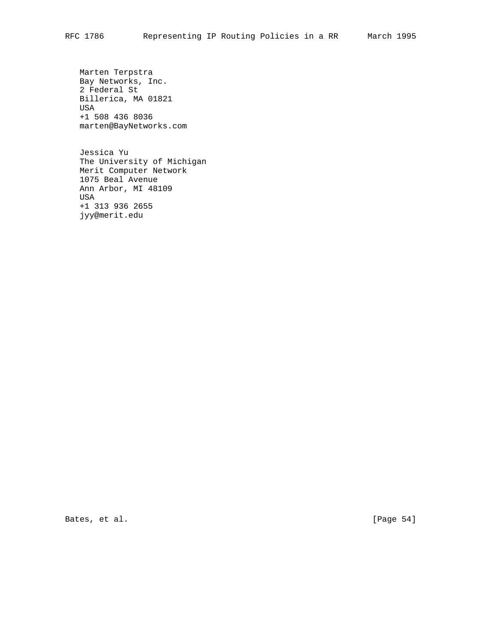Marten Terpstra Bay Networks, Inc. 2 Federal St Billerica, MA 01821 USA +1 508 436 8036 marten@BayNetworks.com

 Jessica Yu The University of Michigan Merit Computer Network 1075 Beal Avenue Ann Arbor, MI 48109 USA +1 313 936 2655 jyy@merit.edu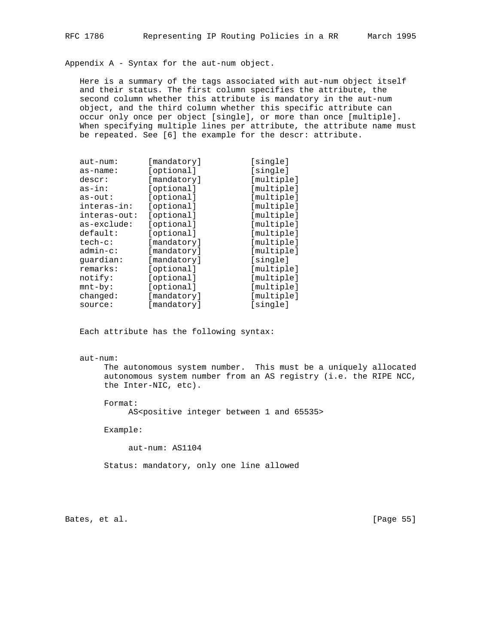Appendix A - Syntax for the aut-num object.

 Here is a summary of the tags associated with aut-num object itself and their status. The first column specifies the attribute, the second column whether this attribute is mandatory in the aut-num object, and the third column whether this specific attribute can occur only once per object [single], or more than once [multiple]. When specifying multiple lines per attribute, the attribute name must be repeated. See [6] the example for the descr: attribute.

| aut-num:      | [mandatory] | [single]   |
|---------------|-------------|------------|
| as-name:      | [optional]  | [single]   |
| descr:        | [mandatory] | [multiple] |
| $as-in:$      | [optional]  | [multiple] |
| $as$ - $out:$ | [optional]  | [multiple] |
| interas-in:   | [optional]  | [multiple] |
| interas-out:  | [optional]  | [multiple] |
| as-exclude:   | [optional]  | [multiple] |
| default:      | [optional]  | [multiple] |
| $tech-c$ :    | [mandatory] | [multiple] |
| $admin-c$ :   | [mandatory] | [multiple] |
| quardian:     | [mandatory] | [single]   |
| remarks:      | [optional]  | [multiple] |
| notify:       | [optional]  | [multiple] |
| $mnt-by$ :    | [optional]  | [multiple] |
| changed:      | [mandatory] | [multiple] |
| source:       | [mandatory] | [single]   |

Each attribute has the following syntax:

## aut-num:

 The autonomous system number. This must be a uniquely allocated autonomous system number from an AS registry (i.e. the RIPE NCC, the Inter-NIC, etc).

Format:

AS<positive integer between 1 and 65535>

Example:

aut-num: AS1104

Status: mandatory, only one line allowed

Bates, et al. [Page 55]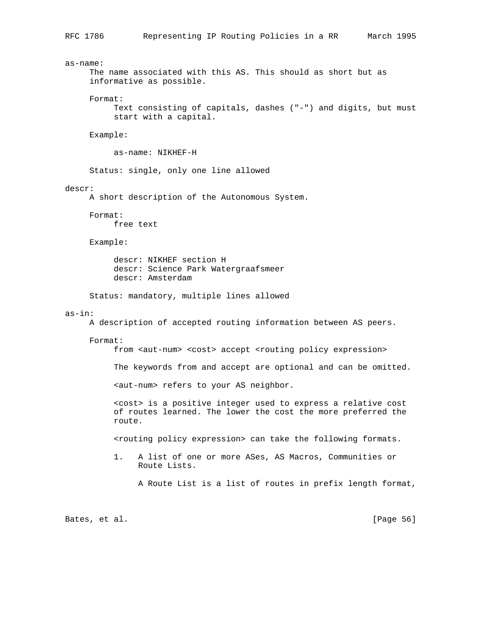as-name: The name associated with this AS. This should as short but as informative as possible. Format: Text consisting of capitals, dashes ("-") and digits, but must start with a capital. Example: as-name: NIKHEF-H Status: single, only one line allowed descr: A short description of the Autonomous System. Format: free text Example: descr: NIKHEF section H descr: Science Park Watergraafsmeer descr: Amsterdam Status: mandatory, multiple lines allowed as-in: A description of accepted routing information between AS peers. Format: from <aut-num> <cost> accept <routing policy expression> The keywords from and accept are optional and can be omitted. <aut-num> refers to your AS neighbor. <cost> is a positive integer used to express a relative cost of routes learned. The lower the cost the more preferred the route. <routing policy expression> can take the following formats. 1. A list of one or more ASes, AS Macros, Communities or Route Lists. A Route List is a list of routes in prefix length format, Bates, et al. [Page 56]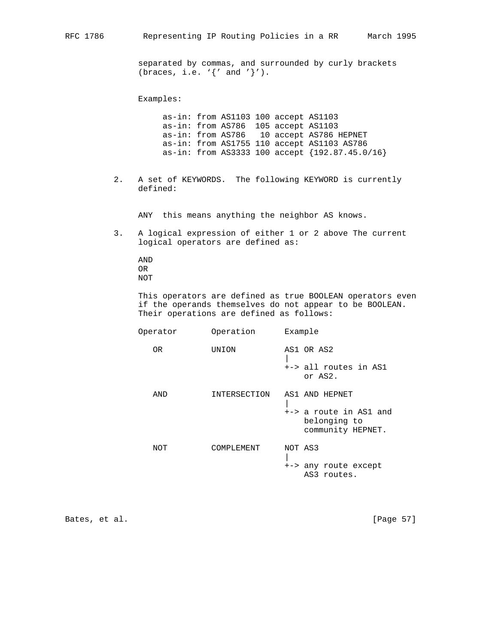separated by commas, and surrounded by curly brackets (braces, i.e. '{' and '}').

Examples:

 as-in: from AS1103 100 accept AS1103 as-in: from AS786 105 accept AS1103 as-in: from AS786 10 accept AS786 HEPNET as-in: from AS1755 110 accept AS1103 AS786 as-in: from AS3333 100 accept {192.87.45.0/16}

 2. A set of KEYWORDS. The following KEYWORD is currently defined:

ANY this means anything the neighbor AS knows.

 3. A logical expression of either 1 or 2 above The current logical operators are defined as:

 AND OR NOT

 This operators are defined as true BOOLEAN operators even if the operands themselves do not appear to be BOOLEAN. Their operations are defined as follows:

| Operator | Operation    | Example                                                                       |
|----------|--------------|-------------------------------------------------------------------------------|
| 0R       | UNION        | AS1 OR AS2<br>+-> all routes in AS1<br>or AS2.                                |
| AND      | INTERSECTION | AS1 AND HEPNET<br>+-> a route in AS1 and<br>belonging to<br>community HEPNET. |
| NOT      | COMPLEMENT   | NOT AS3<br>+-> any route except<br>AS3 routes.                                |

Bates, et al. [Page 57]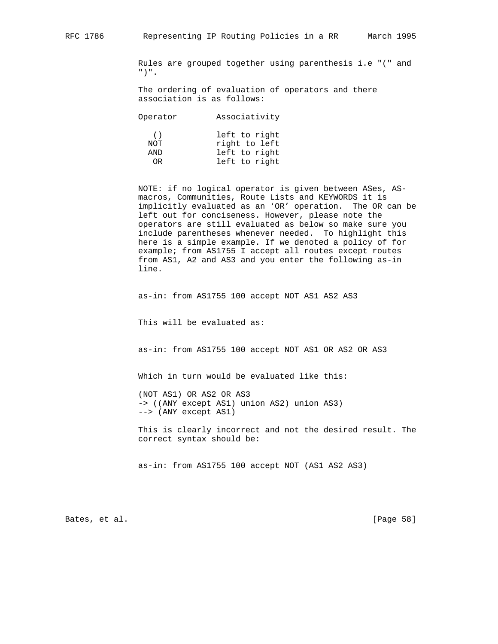Rules are grouped together using parenthesis i.e "(" and ")".

 The ordering of evaluation of operators and there association is as follows:

| Operator        | Associativity                                   |
|-----------------|-------------------------------------------------|
| (<br>NOT<br>AND | left to right<br>right to left<br>left to right |
|                 |                                                 |
| OR.             | left to right                                   |

 NOTE: if no logical operator is given between ASes, AS macros, Communities, Route Lists and KEYWORDS it is implicitly evaluated as an 'OR' operation. The OR can be left out for conciseness. However, please note the operators are still evaluated as below so make sure you include parentheses whenever needed. To highlight this here is a simple example. If we denoted a policy of for example; from AS1755 I accept all routes except routes from AS1, A2 and AS3 and you enter the following as-in line.

as-in: from AS1755 100 accept NOT AS1 AS2 AS3

This will be evaluated as:

as-in: from AS1755 100 accept NOT AS1 OR AS2 OR AS3

Which in turn would be evaluated like this:

 (NOT AS1) OR AS2 OR AS3 -> ((ANY except AS1) union AS2) union AS3) --> (ANY except AS1)

 This is clearly incorrect and not the desired result. The correct syntax should be:

as-in: from AS1755 100 accept NOT (AS1 AS2 AS3)

Bates, et al. [Page 58]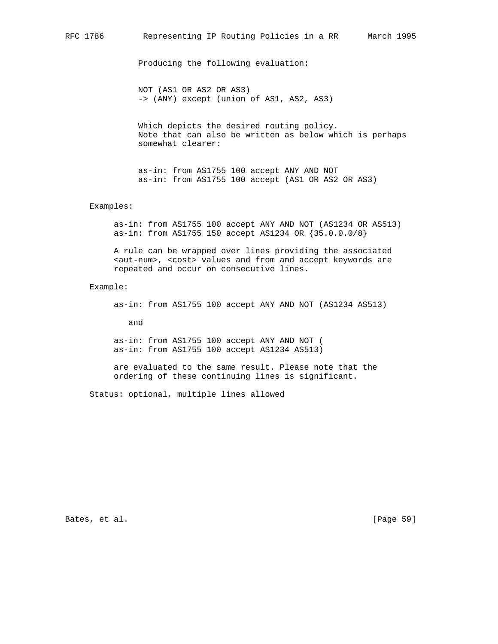Producing the following evaluation:

 NOT (AS1 OR AS2 OR AS3) -> (ANY) except (union of AS1, AS2, AS3)

 Which depicts the desired routing policy. Note that can also be written as below which is perhaps somewhat clearer:

 as-in: from AS1755 100 accept ANY AND NOT as-in: from AS1755 100 accept (AS1 OR AS2 OR AS3)

## Examples:

 as-in: from AS1755 100 accept ANY AND NOT (AS1234 OR AS513) as-in: from AS1755 150 accept AS1234 OR {35.0.0.0/8}

 A rule can be wrapped over lines providing the associated <aut-num>, <cost> values and from and accept keywords are repeated and occur on consecutive lines.

## Example:

as-in: from AS1755 100 accept ANY AND NOT (AS1234 AS513)

and

 as-in: from AS1755 100 accept ANY AND NOT ( as-in: from AS1755 100 accept AS1234 AS513)

 are evaluated to the same result. Please note that the ordering of these continuing lines is significant.

Status: optional, multiple lines allowed

Bates, et al. [Page 59]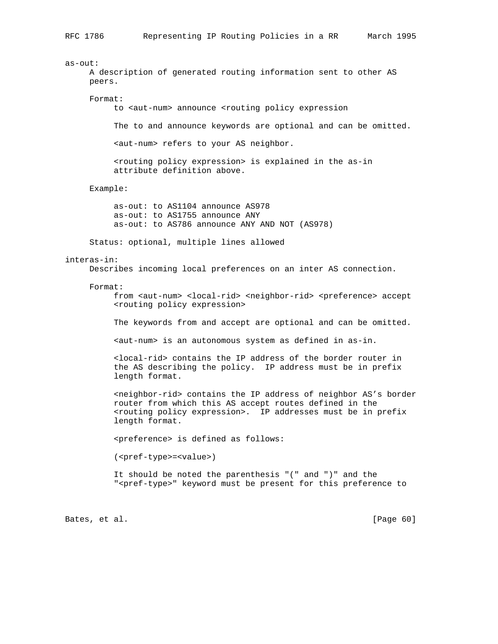as-out: A description of generated routing information sent to other AS peers. Format: to <aut-num> announce <routing policy expression The to and announce keywords are optional and can be omitted. <aut-num> refers to your AS neighbor. <routing policy expression> is explained in the as-in attribute definition above. Example: as-out: to AS1104 announce AS978 as-out: to AS1755 announce ANY as-out: to AS786 announce ANY AND NOT (AS978) Status: optional, multiple lines allowed interas-in: Describes incoming local preferences on an inter AS connection. Format: from <aut-num> <local-rid> <neighbor-rid> <preference> accept <routing policy expression> The keywords from and accept are optional and can be omitted. <aut-num> is an autonomous system as defined in as-in. <local-rid> contains the IP address of the border router in the AS describing the policy. IP address must be in prefix length format. <neighbor-rid> contains the IP address of neighbor AS's border router from which this AS accept routes defined in the <routing policy expression>. IP addresses must be in prefix length format. <preference> is defined as follows: (<pref-type>=<value>) It should be noted the parenthesis "(" and ")" and the "<pref-type>" keyword must be present for this preference to

Bates, et al. [Page 60]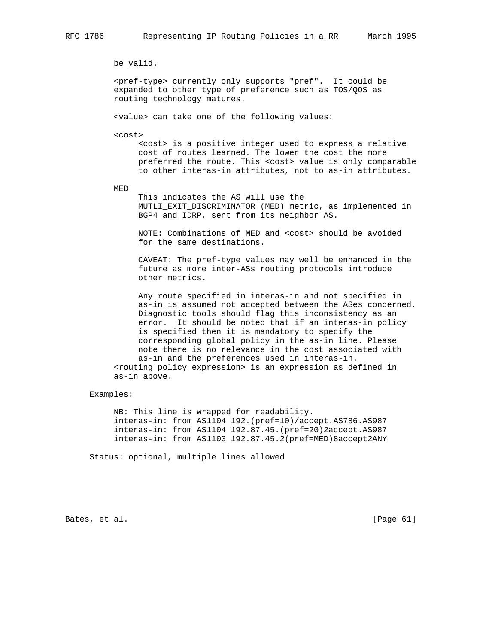be valid.

 <pref-type> currently only supports "pref". It could be expanded to other type of preference such as TOS/QOS as routing technology matures.

<value> can take one of the following values:

<cost>

 <cost> is a positive integer used to express a relative cost of routes learned. The lower the cost the more preferred the route. This <cost> value is only comparable to other interas-in attributes, not to as-in attributes.

MED

 This indicates the AS will use the MUTLI\_EXIT\_DISCRIMINATOR (MED) metric, as implemented in BGP4 and IDRP, sent from its neighbor AS.

 NOTE: Combinations of MED and <cost> should be avoided for the same destinations.

 CAVEAT: The pref-type values may well be enhanced in the future as more inter-ASs routing protocols introduce other metrics.

 Any route specified in interas-in and not specified in as-in is assumed not accepted between the ASes concerned. Diagnostic tools should flag this inconsistency as an error. It should be noted that if an interas-in policy is specified then it is mandatory to specify the corresponding global policy in the as-in line. Please note there is no relevance in the cost associated with as-in and the preferences used in interas-in. <routing policy expression> is an expression as defined in as-in above.

## Examples:

 NB: This line is wrapped for readability. interas-in: from AS1104 192.(pref=10)/accept.AS786.AS987 interas-in: from AS1104 192.87.45.(pref=20)2accept.AS987 interas-in: from AS1103 192.87.45.2(pref=MED)8accept2ANY

Status: optional, multiple lines allowed

Bates, et al. [Page 61]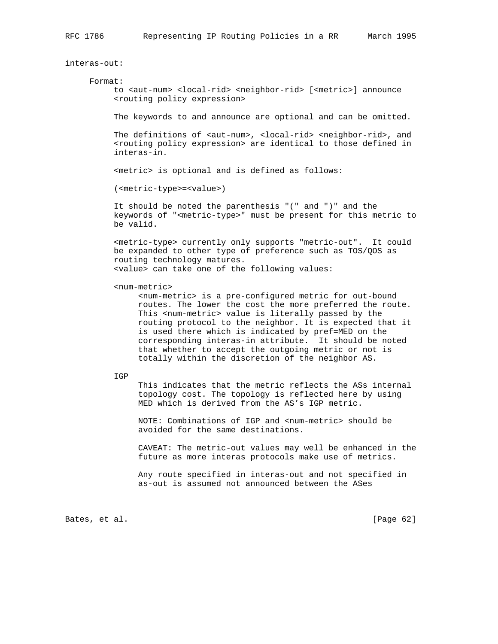interas-out:

#### Format:

 to <aut-num> <local-rid> <neighbor-rid> [<metric>] announce <routing policy expression>

The keywords to and announce are optional and can be omitted.

The definitions of <aut-num>, <local-rid> <neighbor-rid>, and <routing policy expression> are identical to those defined in interas-in.

<metric> is optional and is defined as follows:

(<metric-type>=<value>)

 It should be noted the parenthesis "(" and ")" and the keywords of "<metric-type>" must be present for this metric to be valid.

 <metric-type> currently only supports "metric-out". It could be expanded to other type of preference such as TOS/QOS as routing technology matures. <value> can take one of the following values:

<num-metric>

 <num-metric> is a pre-configured metric for out-bound routes. The lower the cost the more preferred the route. This <num-metric> value is literally passed by the routing protocol to the neighbor. It is expected that it is used there which is indicated by pref=MED on the corresponding interas-in attribute. It should be noted that whether to accept the outgoing metric or not is totally within the discretion of the neighbor AS.

IGP

 This indicates that the metric reflects the ASs internal topology cost. The topology is reflected here by using MED which is derived from the AS's IGP metric.

NOTE: Combinations of IGP and <num-metric> should be avoided for the same destinations.

 CAVEAT: The metric-out values may well be enhanced in the future as more interas protocols make use of metrics.

 Any route specified in interas-out and not specified in as-out is assumed not announced between the ASes

Bates, et al. [Page 62]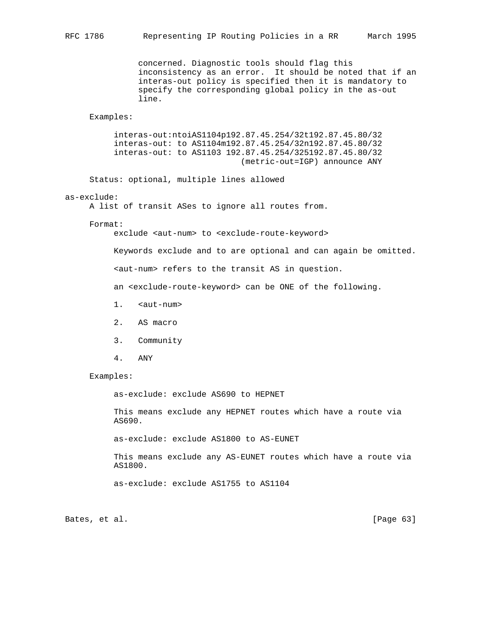concerned. Diagnostic tools should flag this inconsistency as an error. It should be noted that if an interas-out policy is specified then it is mandatory to specify the corresponding global policy in the as-out line.

## Examples:

 interas-out:ntoiAS1104p192.87.45.254/32t192.87.45.80/32 interas-out: to AS1104m192.87.45.254/32n192.87.45.80/32 interas-out: to AS1103 192.87.45.254/325192.87.45.80/32 (metric-out=IGP) announce ANY

Status: optional, multiple lines allowed

## as-exclude:

A list of transit ASes to ignore all routes from.

#### Format:

exclude <aut-num> to <exclude-route-keyword>

Keywords exclude and to are optional and can again be omitted.

<aut-num> refers to the transit AS in question.

an <exclude-route-keyword> can be ONE of the following.

- 1. <aut-num>
- 2. AS macro
- 3. Community
- 4. ANY

## Examples:

as-exclude: exclude AS690 to HEPNET

 This means exclude any HEPNET routes which have a route via AS690.

as-exclude: exclude AS1800 to AS-EUNET

 This means exclude any AS-EUNET routes which have a route via AS1800.

as-exclude: exclude AS1755 to AS1104

Bates, et al. [Page 63]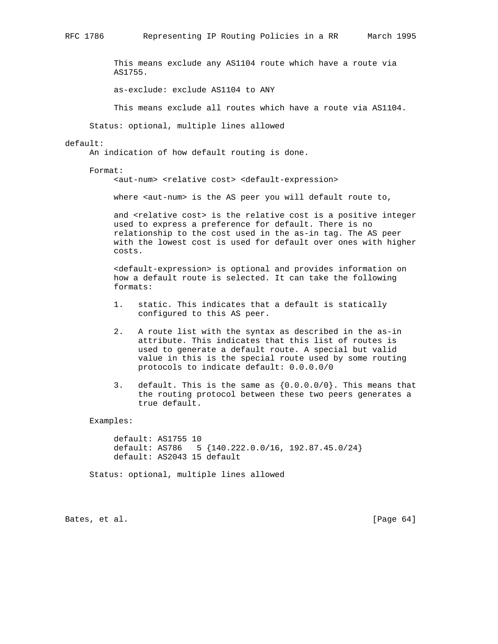This means exclude any AS1104 route which have a route via AS1755.

as-exclude: exclude AS1104 to ANY

This means exclude all routes which have a route via AS1104.

Status: optional, multiple lines allowed

### default:

An indication of how default routing is done.

Format:

<aut-num> <relative cost> <default-expression>

where <aut-num> is the AS peer you will default route to,

and <relative cost> is the relative cost is a positive integer used to express a preference for default. There is no relationship to the cost used in the as-in tag. The AS peer with the lowest cost is used for default over ones with higher costs.

 <default-expression> is optional and provides information on how a default route is selected. It can take the following formats:

- 1. static. This indicates that a default is statically configured to this AS peer.
- 2. A route list with the syntax as described in the as-in attribute. This indicates that this list of routes is used to generate a default route. A special but valid value in this is the special route used by some routing protocols to indicate default: 0.0.0.0/0
- 3. default. This is the same as {0.0.0.0/0}. This means that the routing protocol between these two peers generates a true default.

Examples:

 default: AS1755 10 default: AS786 5 {140.222.0.0/16, 192.87.45.0/24} default: AS2043 15 default

Status: optional, multiple lines allowed

Bates, et al. [Page 64]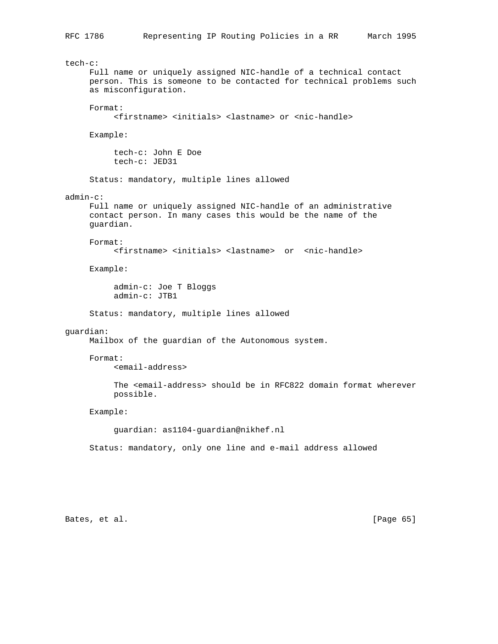```
tech-c:
      Full name or uniquely assigned NIC-handle of a technical contact
      person. This is someone to be contacted for technical problems such
      as misconfiguration.
      Format:
           <firstname> <initials> <lastname> or <nic-handle>
      Example:
           tech-c: John E Doe
           tech-c: JED31
      Status: mandatory, multiple lines allowed
admin-c:
      Full name or uniquely assigned NIC-handle of an administrative
      contact person. In many cases this would be the name of the
      guardian.
      Format:
           <firstname> <initials> <lastname> or <nic-handle>
      Example:
           admin-c: Joe T Bloggs
           admin-c: JTB1
      Status: mandatory, multiple lines allowed
guardian:
     Mailbox of the guardian of the Autonomous system.
      Format:
           <email-address>
           The <email-address> should be in RFC822 domain format wherever
           possible.
      Example:
           guardian: as1104-guardian@nikhef.nl
      Status: mandatory, only one line and e-mail address allowed
```
Bates, et al. [Page 65]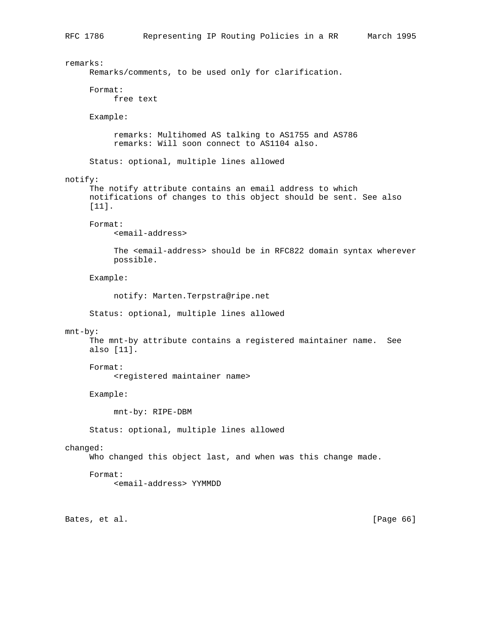remarks: Remarks/comments, to be used only for clarification. Format: free text Example: remarks: Multihomed AS talking to AS1755 and AS786 remarks: Will soon connect to AS1104 also. Status: optional, multiple lines allowed notify: The notify attribute contains an email address to which notifications of changes to this object should be sent. See also [11]. Format: <email-address> The <email-address> should be in RFC822 domain syntax wherever possible. Example: notify: Marten.Terpstra@ripe.net Status: optional, multiple lines allowed mnt-by: The mnt-by attribute contains a registered maintainer name. See also [11]. Format: <registered maintainer name> Example: mnt-by: RIPE-DBM Status: optional, multiple lines allowed changed: Who changed this object last, and when was this change made. Format: <email-address> YYMMDD Bates, et al. [Page 66]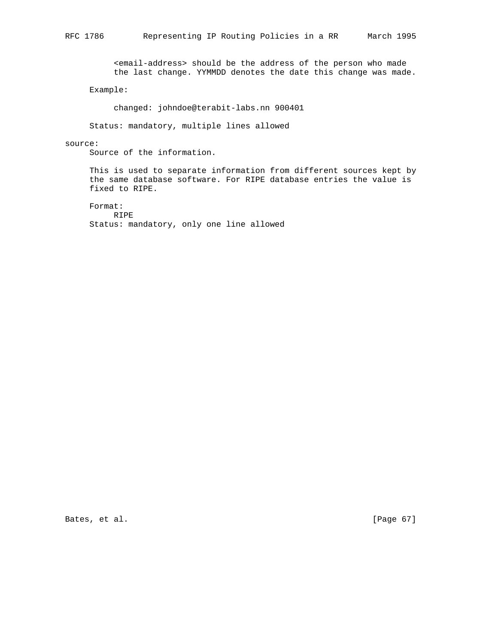<email-address> should be the address of the person who made the last change. YYMMDD denotes the date this change was made.

Example:

changed: johndoe@terabit-labs.nn 900401

Status: mandatory, multiple lines allowed

## source:

Source of the information.

 This is used to separate information from different sources kept by the same database software. For RIPE database entries the value is fixed to RIPE.

 Format: RIPE Status: mandatory, only one line allowed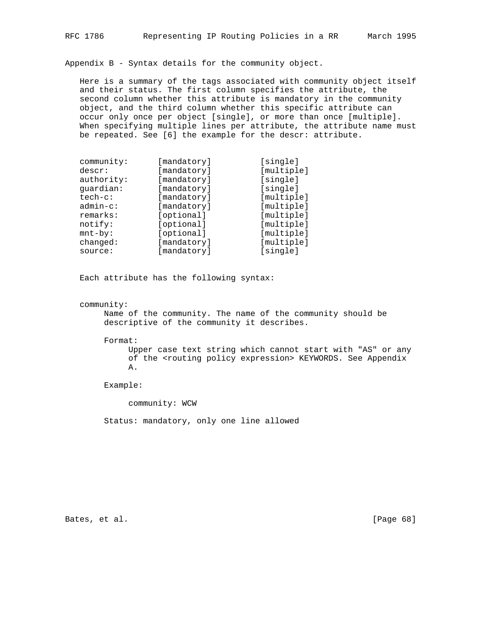Appendix B - Syntax details for the community object.

 Here is a summary of the tags associated with community object itself and their status. The first column specifies the attribute, the second column whether this attribute is mandatory in the community object, and the third column whether this specific attribute can occur only once per object [single], or more than once [multiple]. When specifying multiple lines per attribute, the attribute name must be repeated. See [6] the example for the descr: attribute.

| community:  | [mandatory] | [single]   |
|-------------|-------------|------------|
| descr:      | [mandatory] | [multiple] |
| authority:  | [mandatory] | [single]   |
| quardian:   | [mandatory] | [single]   |
| $tech-c$ :  | [mandatory] | [multiple] |
| $admin-c$ : | [mandatory] | [multiple] |
| remarks:    | [optional]  | [multiple] |
| notify:     | [optional]  | [multiple] |
| $mnt-by$ :  | [optional]  | [multiple] |
| changed:    | [mandatory] | [multiple] |
| source:     | [mandatory] | [single]   |

Each attribute has the following syntax:

community:

 Name of the community. The name of the community should be descriptive of the community it describes.

Format:

 Upper case text string which cannot start with "AS" or any of the <routing policy expression> KEYWORDS. See Appendix A.

Example:

community: WCW

Status: mandatory, only one line allowed

Bates, et al. [Page 68]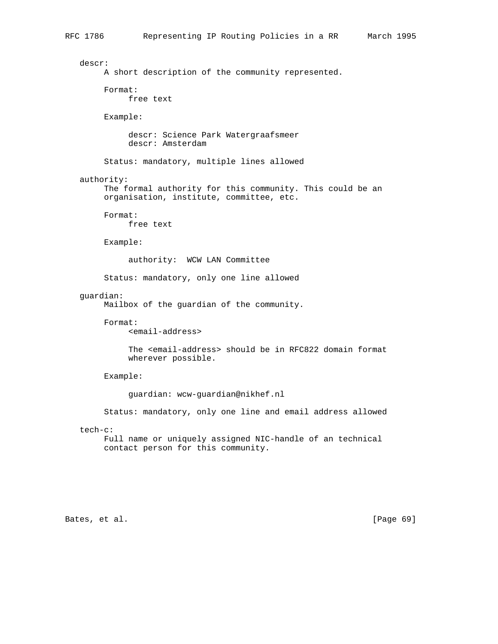```
 descr:
      A short description of the community represented.
      Format:
           free text
      Example:
           descr: Science Park Watergraafsmeer
           descr: Amsterdam
      Status: mandatory, multiple lines allowed
 authority:
      The formal authority for this community. This could be an
      organisation, institute, committee, etc.
      Format:
           free text
      Example:
           authority: WCW LAN Committee
      Status: mandatory, only one line allowed
 guardian:
      Mailbox of the guardian of the community.
      Format:
           <email-address>
           The <email-address> should be in RFC822 domain format
           wherever possible.
      Example:
           guardian: wcw-guardian@nikhef.nl
      Status: mandatory, only one line and email address allowed
 tech-c:
      Full name or uniquely assigned NIC-handle of an technical
      contact person for this community.
```
Bates, et al. [Page 69]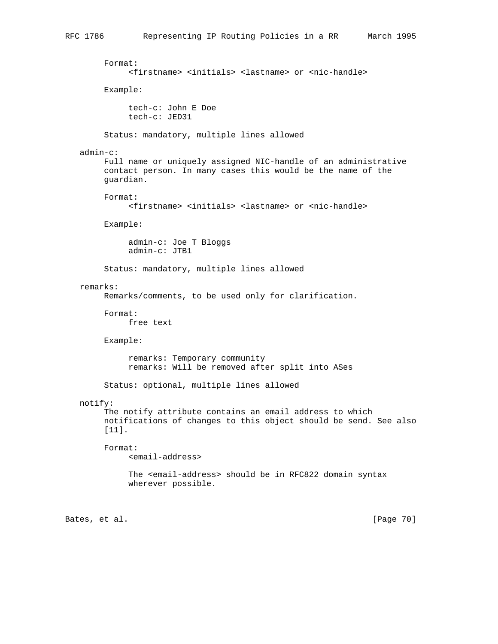```
 Format:
           <firstname> <initials> <lastname> or <nic-handle>
      Example:
           tech-c: John E Doe
           tech-c: JED31
      Status: mandatory, multiple lines allowed
 admin-c:
      Full name or uniquely assigned NIC-handle of an administrative
      contact person. In many cases this would be the name of the
      guardian.
      Format:
           <firstname> <initials> <lastname> or <nic-handle>
      Example:
           admin-c: Joe T Bloggs
           admin-c: JTB1
      Status: mandatory, multiple lines allowed
 remarks:
      Remarks/comments, to be used only for clarification.
      Format:
          free text
      Example:
           remarks: Temporary community
           remarks: Will be removed after split into ASes
      Status: optional, multiple lines allowed
 notify:
      The notify attribute contains an email address to which
      notifications of changes to this object should be send. See also
      [11].
      Format:
           <email-address>
           The <email-address> should be in RFC822 domain syntax
           wherever possible.
```
Bates, et al. [Page 70]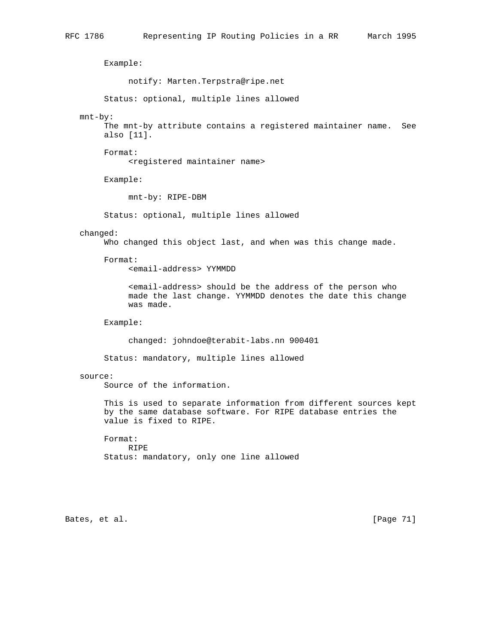Example: notify: Marten.Terpstra@ripe.net Status: optional, multiple lines allowed mnt-by: The mnt-by attribute contains a registered maintainer name. See also [11]. Format: <registered maintainer name> Example: mnt-by: RIPE-DBM Status: optional, multiple lines allowed changed: Who changed this object last, and when was this change made. Format: <email-address> YYMMDD <email-address> should be the address of the person who made the last change. YYMMDD denotes the date this change was made. Example: changed: johndoe@terabit-labs.nn 900401 Status: mandatory, multiple lines allowed source: Source of the information. This is used to separate information from different sources kept by the same database software. For RIPE database entries the value is fixed to RIPE. Format: RIPE Status: mandatory, only one line allowed

Bates, et al. [Page 71]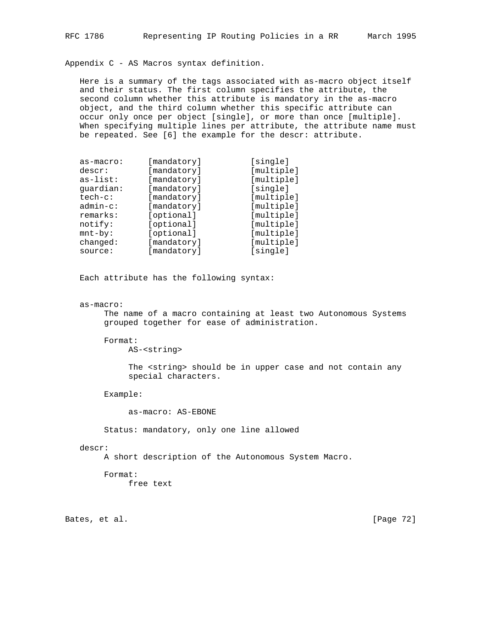Appendix C - AS Macros syntax definition.

 Here is a summary of the tags associated with as-macro object itself and their status. The first column specifies the attribute, the second column whether this attribute is mandatory in the as-macro object, and the third column whether this specific attribute can occur only once per object [single], or more than once [multiple]. When specifying multiple lines per attribute, the attribute name must be repeated. See [6] the example for the descr: attribute.

| as-macro:   | [mandatory] | [single]   |
|-------------|-------------|------------|
| descr:      | [mandatory] | [multiple] |
| $as-list:$  | [mandatory] | [multiple] |
| quardian:   | [mandatory] | [single]   |
| $tech-c:$   | [mandatory] | [multiple] |
| $admin-c$ : | [mandatory] | [multiple] |
| remarks:    | [optional]  | [multiple] |
| notify:     | [optional]  | [multiple] |
| $mnt-by$ :  | [optional]  | [multiple] |
| changed:    | [mandatory] | [multiple] |
| source:     | [mandatory] | [single]   |

Each attribute has the following syntax:

## as-macro:

 The name of a macro containing at least two Autonomous Systems grouped together for ease of administration.

#### Format:

AS-<string>

 The <string> should be in upper case and not contain any special characters.

Example:

as-macro: AS-EBONE

Status: mandatory, only one line allowed

## descr:

A short description of the Autonomous System Macro.

 Format: free text

Bates, et al. [Page 72]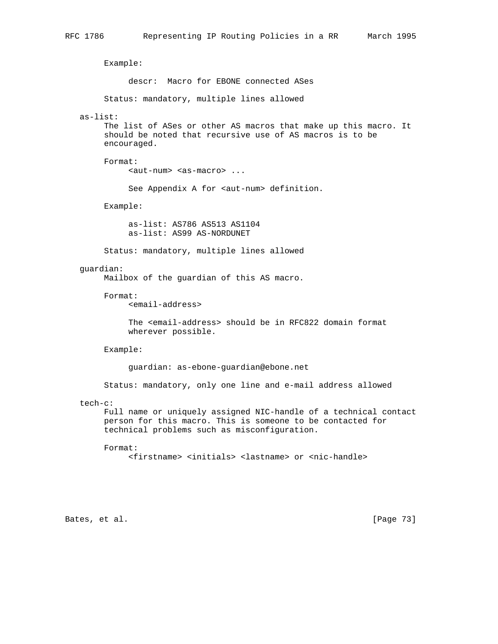Example: descr: Macro for EBONE connected ASes Status: mandatory, multiple lines allowed as-list: The list of ASes or other AS macros that make up this macro. It should be noted that recursive use of AS macros is to be encouraged. Format: <aut-num> <as-macro> ... See Appendix A for <aut-num> definition. Example: as-list: AS786 AS513 AS1104 as-list: AS99 AS-NORDUNET Status: mandatory, multiple lines allowed guardian: Mailbox of the guardian of this AS macro. Format: <email-address> The <email-address> should be in RFC822 domain format wherever possible. Example: guardian: as-ebone-guardian@ebone.net Status: mandatory, only one line and e-mail address allowed tech-c: Full name or uniquely assigned NIC-handle of a technical contact person for this macro. This is someone to be contacted for technical problems such as misconfiguration. Format: <firstname> <initials> <lastname> or <nic-handle>

Bates, et al. [Page 73]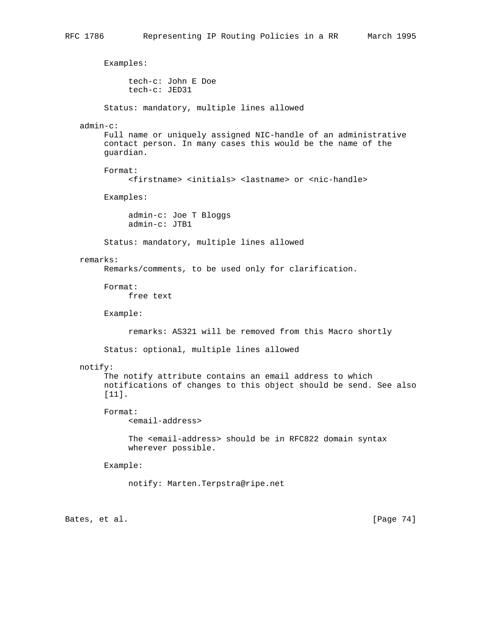Examples: tech-c: John E Doe tech-c: JED31 Status: mandatory, multiple lines allowed admin-c: Full name or uniquely assigned NIC-handle of an administrative contact person. In many cases this would be the name of the guardian. Format: <firstname> <initials> <lastname> or <nic-handle> Examples: admin-c: Joe T Bloggs admin-c: JTB1 Status: mandatory, multiple lines allowed remarks: Remarks/comments, to be used only for clarification. Format: free text Example: remarks: AS321 will be removed from this Macro shortly Status: optional, multiple lines allowed notify: The notify attribute contains an email address to which notifications of changes to this object should be send. See also [11]. Format: <email-address> The <email-address> should be in RFC822 domain syntax wherever possible. Example: notify: Marten.Terpstra@ripe.net

Bates, et al. [Page 74]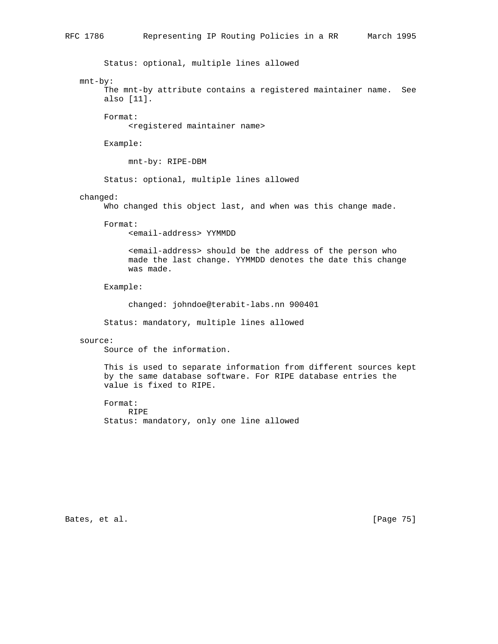Status: optional, multiple lines allowed

## mnt-by:

 The mnt-by attribute contains a registered maintainer name. See also [11].

Format:

<registered maintainer name>

Example:

mnt-by: RIPE-DBM

Status: optional, multiple lines allowed

## changed:

Who changed this object last, and when was this change made.

```
 Format:
```
<email-address> YYMMDD

 <email-address> should be the address of the person who made the last change. YYMMDD denotes the date this change was made.

Example:

changed: johndoe@terabit-labs.nn 900401

Status: mandatory, multiple lines allowed

#### source:

Source of the information.

 This is used to separate information from different sources kept by the same database software. For RIPE database entries the value is fixed to RIPE.

 Format: RIPE Status: mandatory, only one line allowed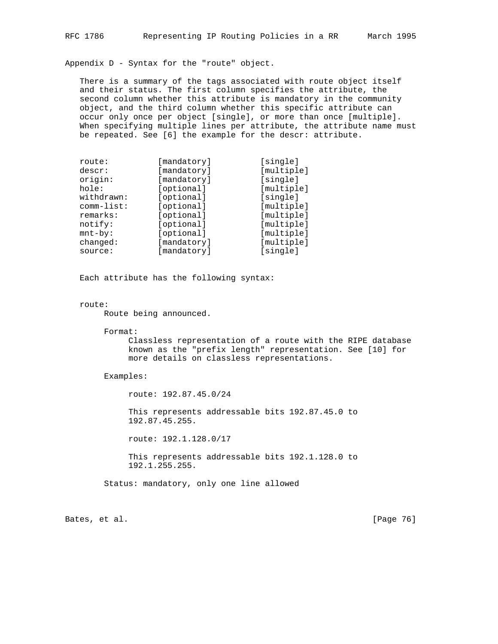Appendix D - Syntax for the "route" object.

 There is a summary of the tags associated with route object itself and their status. The first column specifies the attribute, the second column whether this attribute is mandatory in the community object, and the third column whether this specific attribute can occur only once per object [single], or more than once [multiple]. When specifying multiple lines per attribute, the attribute name must be repeated. See [6] the example for the descr: attribute.

| route:       | [mandatory] | [single]   |
|--------------|-------------|------------|
| descr:       | [mandatory] | [multiple] |
| origin:      | [mandatory] | [single]   |
| hole:        | [optional]  | [multiple] |
| withdrawn:   | [optional]  | [single]   |
| $comm-list:$ | [optional]  | [multiple] |
| remarks:     | [optional]  | [multiple] |
| notify:      | [optional]  | [multiple] |
| $mnt-by$ :   | [optional]  | [multiple] |
| changed:     | [mandatory] | [multiple] |
| source:      | [mandatory] | [single]   |

Each attribute has the following syntax:

# route:

Route being announced.

Format:

 Classless representation of a route with the RIPE database known as the "prefix length" representation. See [10] for more details on classless representations.

Examples:

route: 192.87.45.0/24

 This represents addressable bits 192.87.45.0 to 192.87.45.255.

route: 192.1.128.0/17

 This represents addressable bits 192.1.128.0 to 192.1.255.255.

Status: mandatory, only one line allowed

Bates, et al. [Page 76]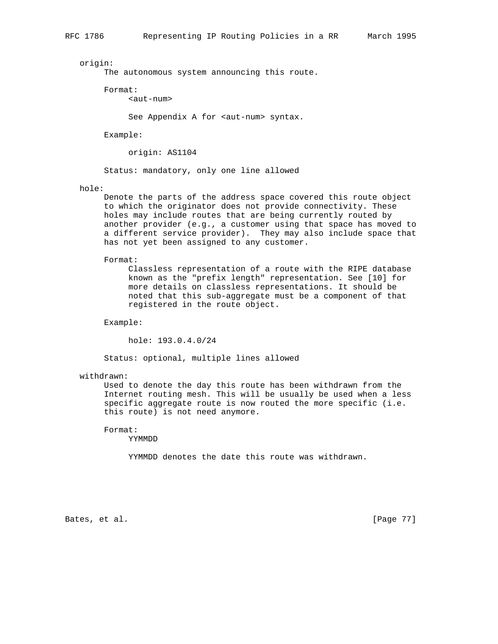origin:

The autonomous system announcing this route.

Format:

<aut-num>

See Appendix A for <aut-num> syntax.

Example:

origin: AS1104

Status: mandatory, only one line allowed

hole:

 Denote the parts of the address space covered this route object to which the originator does not provide connectivity. These holes may include routes that are being currently routed by another provider (e.g., a customer using that space has moved to a different service provider). They may also include space that has not yet been assigned to any customer.

Format:

 Classless representation of a route with the RIPE database known as the "prefix length" representation. See [10] for more details on classless representations. It should be noted that this sub-aggregate must be a component of that registered in the route object.

Example:

hole: 193.0.4.0/24

Status: optional, multiple lines allowed

withdrawn:

 Used to denote the day this route has been withdrawn from the Internet routing mesh. This will be usually be used when a less specific aggregate route is now routed the more specific (i.e. this route) is not need anymore.

Format:

YYMMDD

YYMMDD denotes the date this route was withdrawn.

Bates, et al. [Page 77]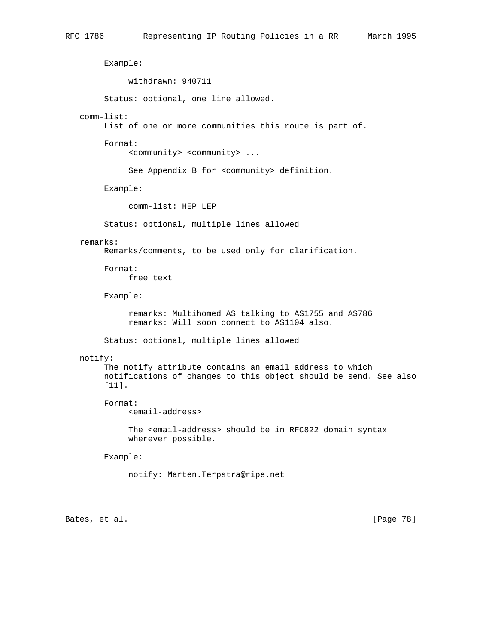Example: withdrawn: 940711 Status: optional, one line allowed. comm-list: List of one or more communities this route is part of. Format: <community> <community> ... See Appendix B for <community> definition. Example: comm-list: HEP LEP Status: optional, multiple lines allowed remarks: Remarks/comments, to be used only for clarification. Format: free text Example: remarks: Multihomed AS talking to AS1755 and AS786 remarks: Will soon connect to AS1104 also. Status: optional, multiple lines allowed notify: The notify attribute contains an email address to which notifications of changes to this object should be send. See also [11]. Format: <email-address> The <email-address> should be in RFC822 domain syntax wherever possible. Example: notify: Marten.Terpstra@ripe.net Bates, et al. [Page 78]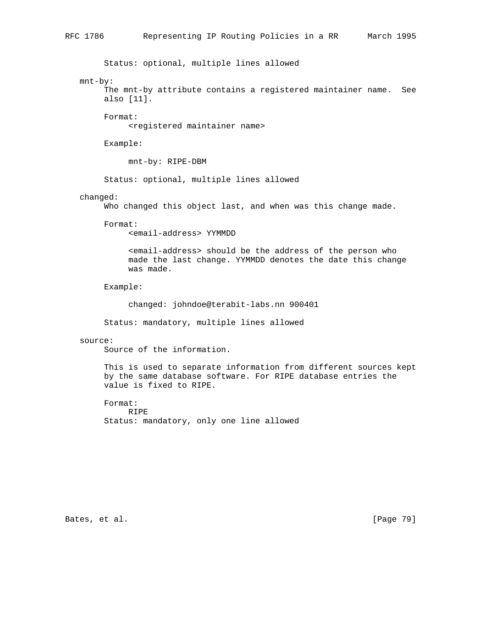Status: optional, multiple lines allowed

## mnt-by:

 The mnt-by attribute contains a registered maintainer name. See also [11].

Format:

<registered maintainer name>

Example:

mnt-by: RIPE-DBM

Status: optional, multiple lines allowed

## changed:

Who changed this object last, and when was this change made.

Format:

<email-address> YYMMDD

 <email-address> should be the address of the person who made the last change. YYMMDD denotes the date this change was made.

Example:

changed: johndoe@terabit-labs.nn 900401

Status: mandatory, multiple lines allowed

#### source:

Source of the information.

 This is used to separate information from different sources kept by the same database software. For RIPE database entries the value is fixed to RIPE.

 Format: RIPE Status: mandatory, only one line allowed

Bates, et al. [Page 79]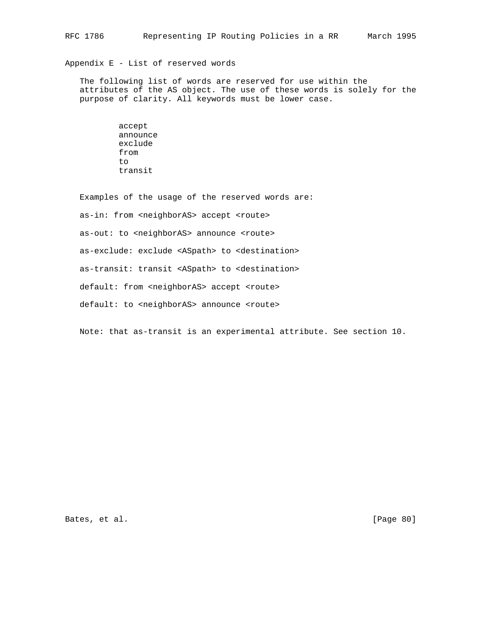# Appendix E - List of reserved words

 The following list of words are reserved for use within the attributes of the AS object. The use of these words is solely for the purpose of clarity. All keywords must be lower case.

> accept announce exclude from  $t \circ$ transit

 Examples of the usage of the reserved words are: as-in: from <neighborAS> accept <route> as-out: to <neighborAS> announce <route> as-exclude: exclude <ASpath> to <destination> as-transit: transit <ASpath> to <destination> default: from <neighborAS> accept <route> default: to <neighborAS> announce <route>

Note: that as-transit is an experimental attribute. See section 10.

Bates, et al. [Page 80]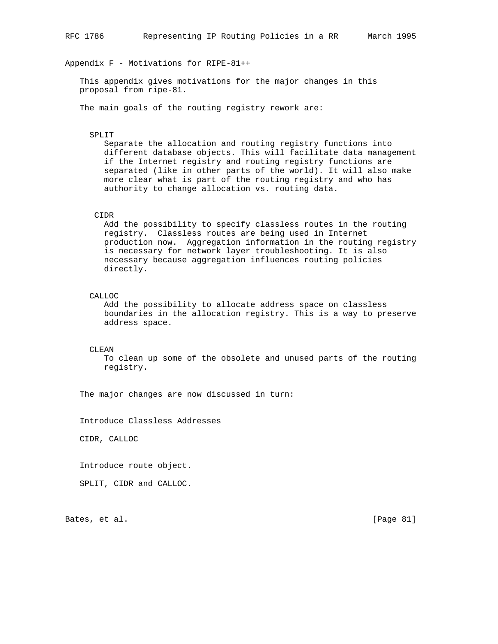Appendix F - Motivations for RIPE-81++

 This appendix gives motivations for the major changes in this proposal from ripe-81.

The main goals of the routing registry rework are:

#### SPLIT

 Separate the allocation and routing registry functions into different database objects. This will facilitate data management if the Internet registry and routing registry functions are separated (like in other parts of the world). It will also make more clear what is part of the routing registry and who has authority to change allocation vs. routing data.

# CIDR

 Add the possibility to specify classless routes in the routing registry. Classless routes are being used in Internet production now. Aggregation information in the routing registry is necessary for network layer troubleshooting. It is also necessary because aggregation influences routing policies directly.

## CALLOC

 Add the possibility to allocate address space on classless boundaries in the allocation registry. This is a way to preserve address space.

CLEAN

 To clean up some of the obsolete and unused parts of the routing registry.

The major changes are now discussed in turn:

Introduce Classless Addresses

CIDR, CALLOC

Introduce route object.

SPLIT, CIDR and CALLOC.

Bates, et al. [Page 81]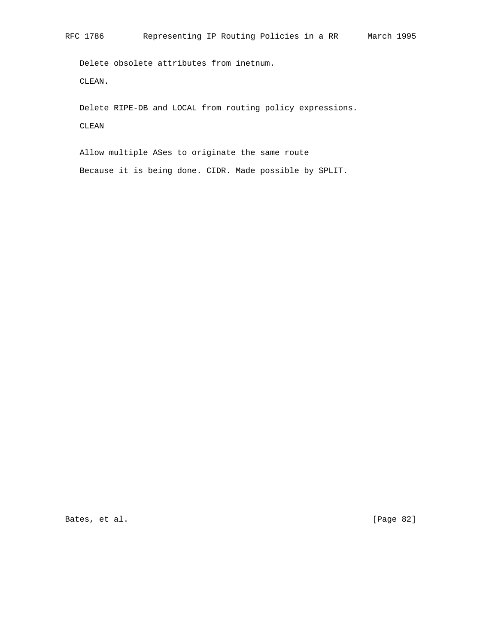Delete obsolete attributes from inetnum. CLEAN.

 Delete RIPE-DB and LOCAL from routing policy expressions. CLEAN

 Allow multiple ASes to originate the same route Because it is being done. CIDR. Made possible by SPLIT.